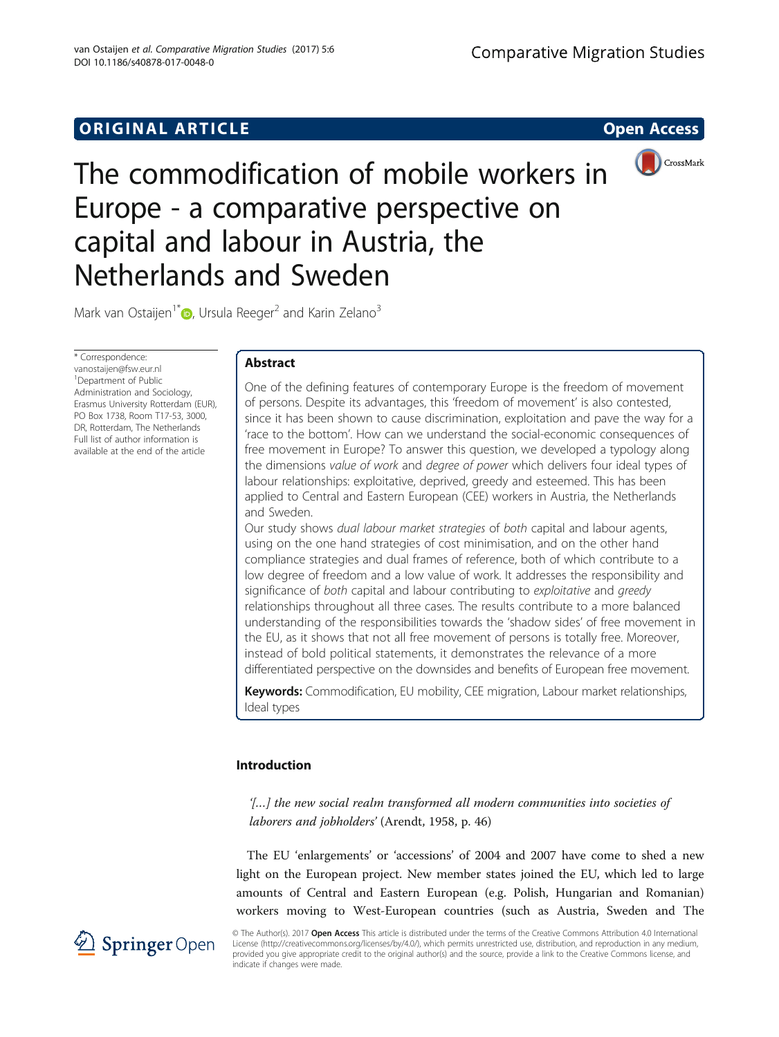# **ORIGINAL ARTICLE CONSERVANCE IN A LOCAL CONSERVANCE IN A LOCAL CONSERVANCE IN A LOCAL CONSERVANCE IN A LOCAL CONSERVANCE IN A LOCAL CONSERVANCE IN A LOCAL CONSERVANCE IN A LOCAL CONSERVANCE IN A LOCAL CONSERVANCE IN A L**



The commodification of mobile workers in Europe - a comparative perspective on capital and labour in Austria, the Netherlands and Sweden

Mark van Ostaijen<sup>1[\\*](http://orcid.org/0000-0003-0570-9740)</sup> $\bullet$ , Ursula Reeger<sup>2</sup> and Karin Zelano<sup>3</sup>

\* Correspondence: [vanostaijen@fsw.eur.nl](mailto:vanostaijen@fsw.eur.nl) 1 Department of Public Administration and Sociology, Erasmus University Rotterdam (EUR), PO Box 1738, Room T17-53, 3000, DR, Rotterdam, The Netherlands Full list of author information is available at the end of the article

## Abstract

One of the defining features of contemporary Europe is the freedom of movement of persons. Despite its advantages, this 'freedom of movement' is also contested, since it has been shown to cause discrimination, exploitation and pave the way for a 'race to the bottom'. How can we understand the social-economic consequences of free movement in Europe? To answer this question, we developed a typology along the dimensions value of work and degree of power which delivers four ideal types of labour relationships: exploitative, deprived, greedy and esteemed. This has been applied to Central and Eastern European (CEE) workers in Austria, the Netherlands and Sweden.

Our study shows dual labour market strategies of both capital and labour agents, using on the one hand strategies of cost minimisation, and on the other hand compliance strategies and dual frames of reference, both of which contribute to a low degree of freedom and a low value of work. It addresses the responsibility and significance of both capital and labour contributing to exploitative and greedy relationships throughout all three cases. The results contribute to a more balanced understanding of the responsibilities towards the 'shadow sides' of free movement in the EU, as it shows that not all free movement of persons is totally free. Moreover, instead of bold political statements, it demonstrates the relevance of a more differentiated perspective on the downsides and benefits of European free movement.

Keywords: Commodification, EU mobility, CEE migration, Labour market relationships, Ideal types

## Introduction

'[…] the new social realm transformed all modern communities into societies of laborers and jobholders' (Arendt, [1958,](#page-19-0) p. 46)

The EU 'enlargements' or 'accessions' of 2004 and 2007 have come to shed a new light on the European project. New member states joined the EU, which led to large amounts of Central and Eastern European (e.g. Polish, Hungarian and Romanian) workers moving to West-European countries (such as Austria, Sweden and The



© The Author(s). 2017 Open Access This article is distributed under the terms of the Creative Commons Attribution 4.0 International License [\(http://creativecommons.org/licenses/by/4.0/](http://creativecommons.org/licenses/by/4.0/)), which permits unrestricted use, distribution, and reproduction in any medium, provided you give appropriate credit to the original author(s) and the source, provide a link to the Creative Commons license, and indicate if changes were made.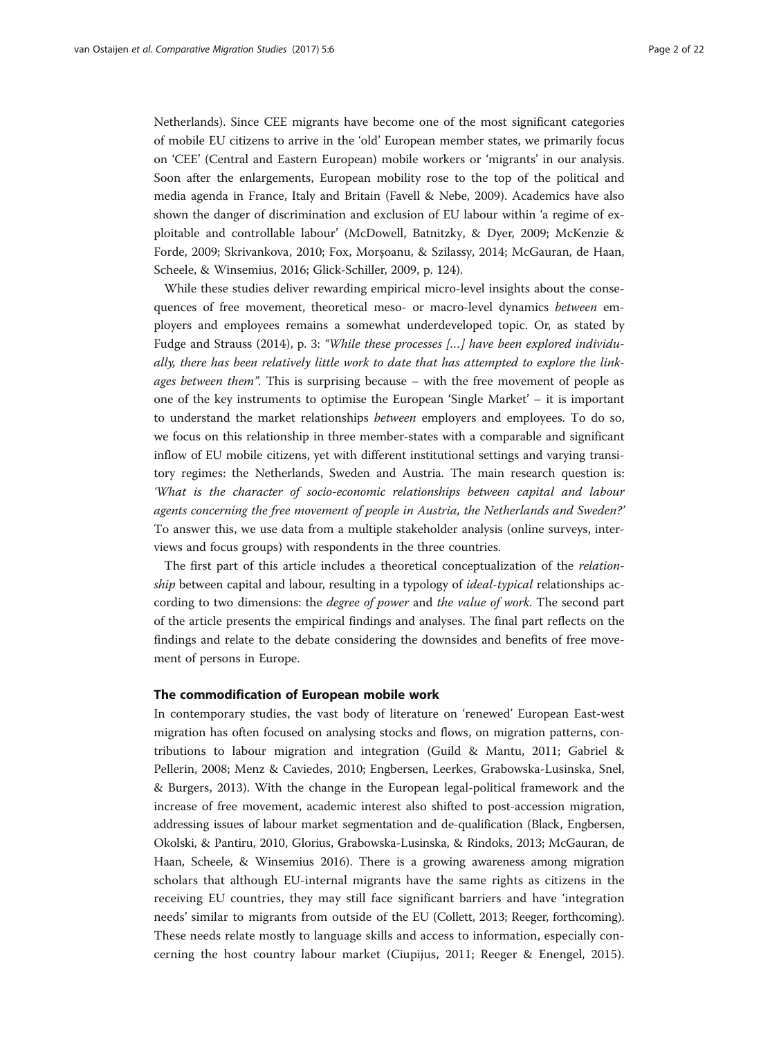Netherlands). Since CEE migrants have become one of the most significant categories of mobile EU citizens to arrive in the 'old' European member states, we primarily focus on 'CEE' (Central and Eastern European) mobile workers or 'migrants' in our analysis. Soon after the enlargements, European mobility rose to the top of the political and media agenda in France, Italy and Britain (Favell & Nebe, [2009\)](#page-19-0). Academics have also shown the danger of discrimination and exclusion of EU labour within 'a regime of exploitable and controllable labour' (McDowell, Batnitzky, & Dyer, [2009;](#page-20-0) McKenzie & Forde, [2009](#page-20-0); Skrivankova, [2010](#page-20-0); Fox, Morşoanu, & Szilassy, [2014;](#page-19-0) McGauran, de Haan, Scheele, & Winsemius, [2016](#page-20-0); Glick-Schiller, [2009,](#page-20-0) p. 124).

While these studies deliver rewarding empirical micro-level insights about the consequences of free movement, theoretical meso- or macro-level dynamics between employers and employees remains a somewhat underdeveloped topic. Or, as stated by Fudge and Strauss [\(2014\)](#page-20-0), p. 3: "While these processes […] have been explored individually, there has been relatively little work to date that has attempted to explore the linkages between them". This is surprising because – with the free movement of people as one of the key instruments to optimise the European 'Single Market' – it is important to understand the market relationships between employers and employees. To do so, we focus on this relationship in three member-states with a comparable and significant inflow of EU mobile citizens, yet with different institutional settings and varying transitory regimes: the Netherlands, Sweden and Austria. The main research question is: 'What is the character of socio-economic relationships between capital and labour agents concerning the free movement of people in Austria, the Netherlands and Sweden?' To answer this, we use data from a multiple stakeholder analysis (online surveys, interviews and focus groups) with respondents in the three countries.

The first part of this article includes a theoretical conceptualization of the relationship between capital and labour, resulting in a typology of *ideal-typical* relationships according to two dimensions: the *degree of power* and *the value of work*. The second part of the article presents the empirical findings and analyses. The final part reflects on the findings and relate to the debate considering the downsides and benefits of free movement of persons in Europe.

### The commodification of European mobile work

In contemporary studies, the vast body of literature on 'renewed' European East-west migration has often focused on analysing stocks and flows, on migration patterns, contributions to labour migration and integration (Guild & Mantu, [2011;](#page-20-0) Gabriel & Pellerin, [2008;](#page-20-0) Menz & Caviedes, [2010](#page-20-0); Engbersen, Leerkes, Grabowska-Lusinska, Snel, & Burgers, [2013\)](#page-19-0). With the change in the European legal-political framework and the increase of free movement, academic interest also shifted to post-accession migration, addressing issues of labour market segmentation and de-qualification (Black, Engbersen, Okolski, & Pantiru, [2010](#page-19-0), Glorius, Grabowska-Lusinska, & Rindoks, [2013](#page-20-0); McGauran, de Haan, Scheele, & Winsemius [2016](#page-20-0)). There is a growing awareness among migration scholars that although EU-internal migrants have the same rights as citizens in the receiving EU countries, they may still face significant barriers and have 'integration needs' similar to migrants from outside of the EU (Collett, [2013;](#page-19-0) Reeger, [forthcoming](#page-20-0)). These needs relate mostly to language skills and access to information, especially concerning the host country labour market (Ciupijus, [2011;](#page-19-0) Reeger & Enengel, [2015](#page-20-0)).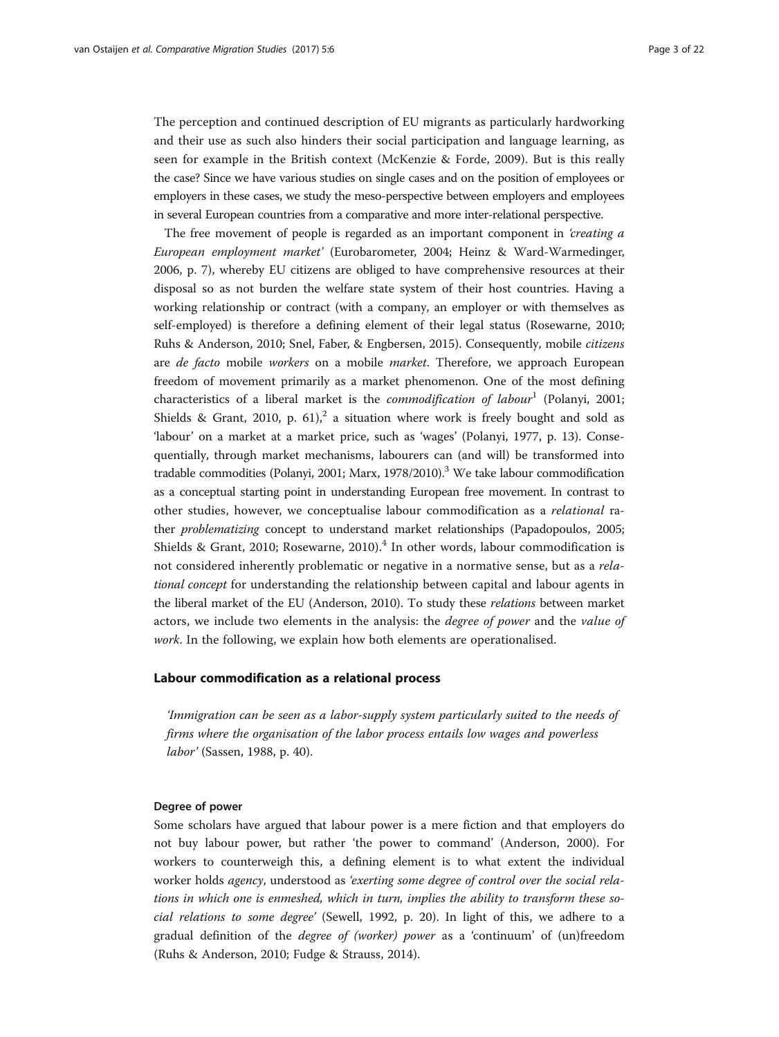The perception and continued description of EU migrants as particularly hardworking and their use as such also hinders their social participation and language learning, as seen for example in the British context (McKenzie & Forde, [2009](#page-20-0)). But is this really the case? Since we have various studies on single cases and on the position of employees or employers in these cases, we study the meso-perspective between employers and employees in several European countries from a comparative and more inter-relational perspective.

The free movement of people is regarded as an important component in *'creating a* European employment market' (Eurobarometer, [2004;](#page-19-0) Heinz & Ward-Warmedinger, [2006](#page-20-0), p. 7), whereby EU citizens are obliged to have comprehensive resources at their disposal so as not burden the welfare state system of their host countries. Having a working relationship or contract (with a company, an employer or with themselves as self-employed) is therefore a defining element of their legal status (Rosewarne, [2010](#page-20-0); Ruhs & Anderson, [2010;](#page-20-0) Snel, Faber, & Engbersen, [2015\)](#page-20-0). Consequently, mobile citizens are *de facto* mobile *workers* on a mobile *market*. Therefore, we approach European freedom of movement primarily as a market phenomenon. One of the most defining characteristics of a liberal market is the *commodification of labour*<sup>1</sup> (Polanyi, [2001](#page-20-0); Shields & Grant, [2010,](#page-20-0) p. 61),<sup>2</sup> a situation where work is freely bought and sold as 'labour' on a market at a market price, such as 'wages' (Polanyi, [1977](#page-20-0), p. 13). Consequentially, through market mechanisms, labourers can (and will) be transformed into tradable commodities (Polanyi, [2001;](#page-20-0) Marx, [1978/2010\)](#page-20-0).<sup>3</sup> We take labour commodification as a conceptual starting point in understanding European free movement. In contrast to other studies, however, we conceptualise labour commodification as a relational rather problematizing concept to understand market relationships (Papadopoulos, [2005](#page-20-0); Shields & Grant, [2010;](#page-20-0) Rosewarne, [2010\)](#page-20-0).<sup>4</sup> In other words, labour commodification is not considered inherently problematic or negative in a normative sense, but as a relational concept for understanding the relationship between capital and labour agents in the liberal market of the EU (Anderson, [2010](#page-19-0)). To study these relations between market actors, we include two elements in the analysis: the degree of power and the value of work. In the following, we explain how both elements are operationalised.

### Labour commodification as a relational process

'Immigration can be seen as a labor-supply system particularly suited to the needs of firms where the organisation of the labor process entails low wages and powerless labor' (Sassen, [1988,](#page-20-0) p. 40).

### Degree of power

Some scholars have argued that labour power is a mere fiction and that employers do not buy labour power, but rather 'the power to command' (Anderson, [2000\)](#page-19-0). For workers to counterweigh this, a defining element is to what extent the individual worker holds agency, understood as 'exerting some degree of control over the social relations in which one is enmeshed, which in turn, implies the ability to transform these social relations to some degree' (Sewell, [1992,](#page-20-0) p. 20). In light of this, we adhere to a gradual definition of the degree of (worker) power as a 'continuum' of (un)freedom (Ruhs & Anderson, [2010;](#page-20-0) Fudge & Strauss, [2014\)](#page-20-0).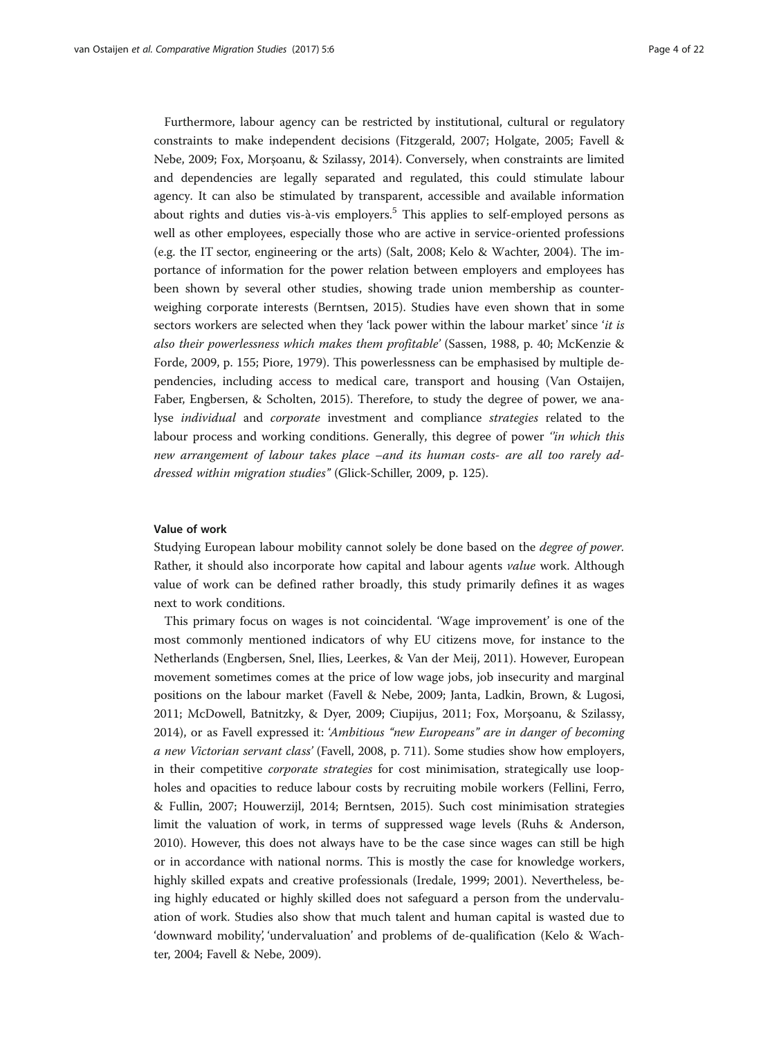Furthermore, labour agency can be restricted by institutional, cultural or regulatory constraints to make independent decisions (Fitzgerald, [2007;](#page-19-0) Holgate, [2005](#page-20-0); Favell & Nebe, [2009;](#page-19-0) Fox, Morşoanu, & Szilassy, [2014](#page-19-0)). Conversely, when constraints are limited and dependencies are legally separated and regulated, this could stimulate labour agency. It can also be stimulated by transparent, accessible and available information about rights and duties vis-à-vis employers.<sup>5</sup> This applies to self-employed persons as well as other employees, especially those who are active in service-oriented professions (e.g. the IT sector, engineering or the arts) (Salt, [2008;](#page-20-0) Kelo & Wachter, [2004\)](#page-20-0). The importance of information for the power relation between employers and employees has been shown by several other studies, showing trade union membership as counterweighing corporate interests (Berntsen, [2015](#page-19-0)). Studies have even shown that in some sectors workers are selected when they 'lack power within the labour market' since 'it is also their powerlessness which makes them profitable' (Sassen, [1988,](#page-20-0) p. 40; McKenzie & Forde, [2009,](#page-20-0) p. 155; Piore, [1979\)](#page-20-0). This powerlessness can be emphasised by multiple dependencies, including access to medical care, transport and housing (Van Ostaijen, Faber, Engbersen, & Scholten, [2015\)](#page-21-0). Therefore, to study the degree of power, we analyse individual and corporate investment and compliance strategies related to the labour process and working conditions. Generally, this degree of power "in which this new arrangement of labour takes place –and its human costs- are all too rarely addressed within migration studies" (Glick-Schiller, [2009](#page-20-0), p. 125).

### Value of work

Studying European labour mobility cannot solely be done based on the degree of power. Rather, it should also incorporate how capital and labour agents value work. Although value of work can be defined rather broadly, this study primarily defines it as wages next to work conditions.

This primary focus on wages is not coincidental. 'Wage improvement' is one of the most commonly mentioned indicators of why EU citizens move, for instance to the Netherlands (Engbersen, Snel, Ilies, Leerkes, & Van der Meij, [2011\)](#page-19-0). However, European movement sometimes comes at the price of low wage jobs, job insecurity and marginal positions on the labour market (Favell & Nebe, [2009;](#page-19-0) Janta, Ladkin, Brown, & Lugosi, [2011](#page-20-0); McDowell, Batnitzky, & Dyer, [2009;](#page-20-0) Ciupijus, [2011;](#page-19-0) Fox, Morşoanu, & Szilassy, [2014](#page-19-0)), or as Favell expressed it: 'Ambitious "new Europeans" are in danger of becoming a new Victorian servant class' (Favell, [2008](#page-19-0), p. 711). Some studies show how employers, in their competitive *corporate strategies* for cost minimisation, strategically use loopholes and opacities to reduce labour costs by recruiting mobile workers (Fellini, Ferro, & Fullin, [2007](#page-19-0); Houwerzijl, [2014;](#page-20-0) Berntsen, [2015\)](#page-19-0). Such cost minimisation strategies limit the valuation of work, in terms of suppressed wage levels (Ruhs & Anderson, [2010](#page-20-0)). However, this does not always have to be the case since wages can still be high or in accordance with national norms. This is mostly the case for knowledge workers, highly skilled expats and creative professionals (Iredale, [1999](#page-20-0); [2001\)](#page-20-0). Nevertheless, being highly educated or highly skilled does not safeguard a person from the undervaluation of work. Studies also show that much talent and human capital is wasted due to 'downward mobility', 'undervaluation' and problems of de-qualification (Kelo & Wachter, [2004;](#page-20-0) Favell & Nebe, [2009](#page-19-0)).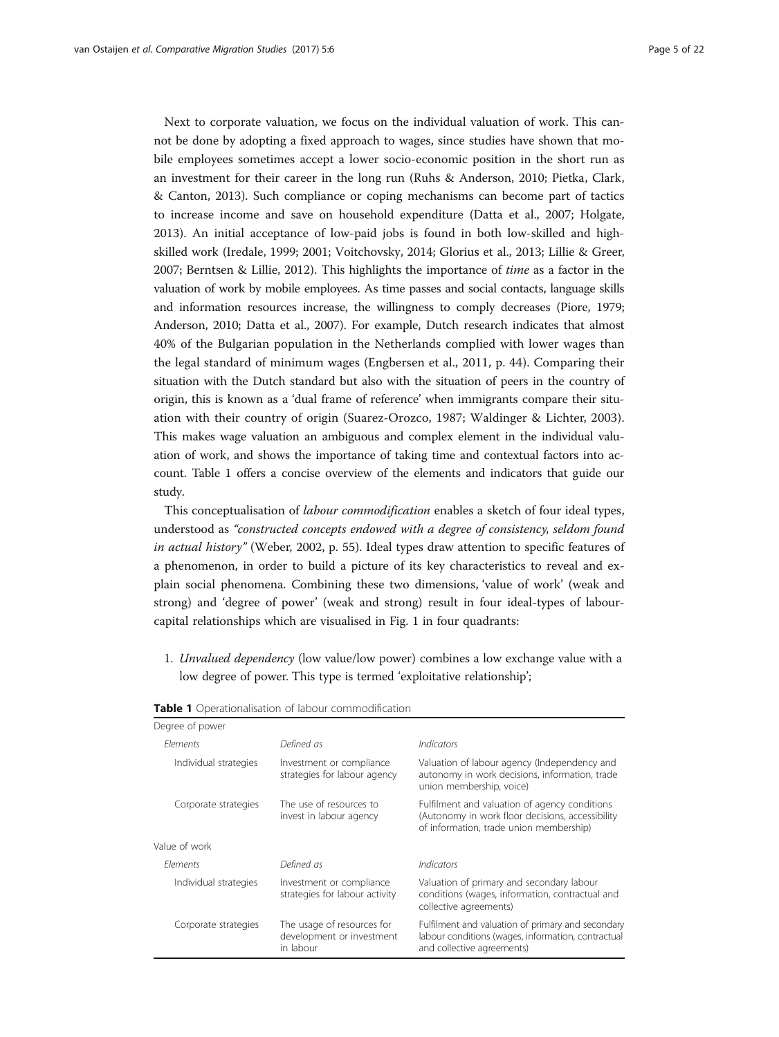Next to corporate valuation, we focus on the individual valuation of work. This cannot be done by adopting a fixed approach to wages, since studies have shown that mobile employees sometimes accept a lower socio-economic position in the short run as an investment for their career in the long run (Ruhs & Anderson, [2010](#page-20-0); Pietka, Clark, & Canton, [2013](#page-20-0)). Such compliance or coping mechanisms can become part of tactics to increase income and save on household expenditure (Datta et al., [2007;](#page-19-0) Holgate, [2013](#page-20-0)). An initial acceptance of low-paid jobs is found in both low-skilled and highskilled work (Iredale, [1999](#page-20-0); [2001](#page-20-0); Voitchovsky, [2014](#page-21-0); Glorius et al., 2013; Lillie & Greer, [2007](#page-20-0); Berntsen & Lillie, [2012](#page-19-0)). This highlights the importance of time as a factor in the valuation of work by mobile employees. As time passes and social contacts, language skills and information resources increase, the willingness to comply decreases (Piore, [1979](#page-20-0); Anderson, [2010](#page-19-0); Datta et al., [2007\)](#page-19-0). For example, Dutch research indicates that almost 40% of the Bulgarian population in the Netherlands complied with lower wages than the legal standard of minimum wages (Engbersen et al., [2011,](#page-19-0) p. 44). Comparing their situation with the Dutch standard but also with the situation of peers in the country of origin, this is known as a 'dual frame of reference' when immigrants compare their situation with their country of origin (Suarez-Orozco, [1987;](#page-21-0) Waldinger & Lichter, [2003](#page-21-0)). This makes wage valuation an ambiguous and complex element in the individual valuation of work, and shows the importance of taking time and contextual factors into account. Table 1 offers a concise overview of the elements and indicators that guide our study.

This conceptualisation of *labour commodification* enables a sketch of four ideal types, understood as "constructed concepts endowed with a degree of consistency, seldom found in actual history" (Weber, [2002](#page-21-0), p. 55). Ideal types draw attention to specific features of a phenomenon, in order to build a picture of its key characteristics to reveal and explain social phenomena. Combining these two dimensions, 'value of work' (weak and strong) and 'degree of power' (weak and strong) result in four ideal-types of labourcapital relationships which are visualised in Fig. [1](#page-5-0) in four quadrants:

1. Unvalued dependency (low value/low power) combines a low exchange value with a low degree of power. This type is termed 'exploitative relationship';

| Degree of power       |                                                                      |                                                                                                                                              |
|-----------------------|----------------------------------------------------------------------|----------------------------------------------------------------------------------------------------------------------------------------------|
| Flements              | Defined as                                                           | Indicators                                                                                                                                   |
| Individual strategies | Investment or compliance<br>strategies for labour agency             | Valuation of labour agency (Independency and<br>autonomy in work decisions, information, trade<br>union membership, voice)                   |
| Corporate strategies  | The use of resources to<br>invest in labour agency                   | Fulfilment and valuation of agency conditions<br>(Autonomy in work floor decisions, accessibility<br>of information, trade union membership) |
| Value of work         |                                                                      |                                                                                                                                              |
| Flements              | Defined as                                                           | Indicators                                                                                                                                   |
| Individual strategies | Investment or compliance<br>strategies for labour activity           | Valuation of primary and secondary labour<br>conditions (wages, information, contractual and<br>collective agreements)                       |
| Corporate strategies  | The usage of resources for<br>development or investment<br>in labour | Fulfilment and valuation of primary and secondary<br>labour conditions (wages, information, contractual<br>and collective agreements)        |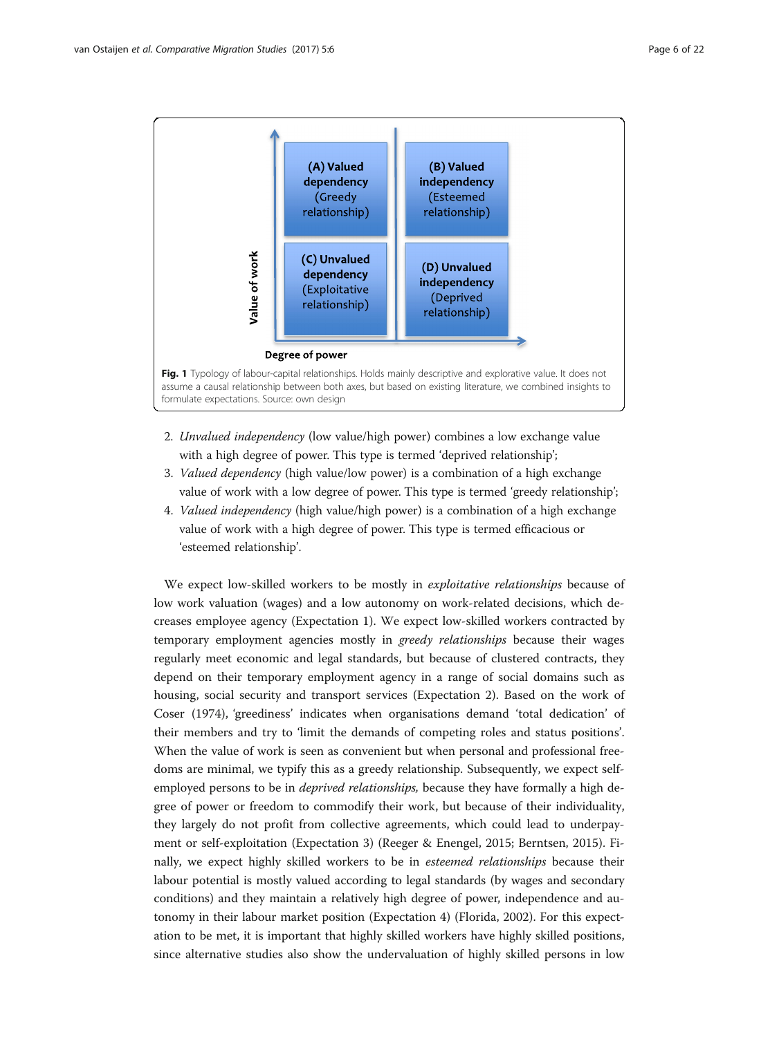<span id="page-5-0"></span>

- 2. Unvalued independency (low value/high power) combines a low exchange value with a high degree of power. This type is termed 'deprived relationship';
- 3. Valued dependency (high value/low power) is a combination of a high exchange value of work with a low degree of power. This type is termed 'greedy relationship';
- 4. Valued independency (high value/high power) is a combination of a high exchange value of work with a high degree of power. This type is termed efficacious or 'esteemed relationship'.

We expect low-skilled workers to be mostly in *exploitative relationships* because of low work valuation (wages) and a low autonomy on work-related decisions, which decreases employee agency (Expectation 1). We expect low-skilled workers contracted by temporary employment agencies mostly in *greedy relationships* because their wages regularly meet economic and legal standards, but because of clustered contracts, they depend on their temporary employment agency in a range of social domains such as housing, social security and transport services (Expectation 2). Based on the work of Coser ([1974](#page-19-0)), 'greediness' indicates when organisations demand 'total dedication' of their members and try to 'limit the demands of competing roles and status positions'. When the value of work is seen as convenient but when personal and professional freedoms are minimal, we typify this as a greedy relationship. Subsequently, we expect selfemployed persons to be in *deprived relationships*, because they have formally a high degree of power or freedom to commodify their work, but because of their individuality, they largely do not profit from collective agreements, which could lead to underpayment or self-exploitation (Expectation 3) (Reeger & Enengel, [2015](#page-20-0); Berntsen, [2015\)](#page-19-0). Finally, we expect highly skilled workers to be in esteemed relationships because their labour potential is mostly valued according to legal standards (by wages and secondary conditions) and they maintain a relatively high degree of power, independence and autonomy in their labour market position (Expectation 4) (Florida, [2002\)](#page-19-0). For this expectation to be met, it is important that highly skilled workers have highly skilled positions, since alternative studies also show the undervaluation of highly skilled persons in low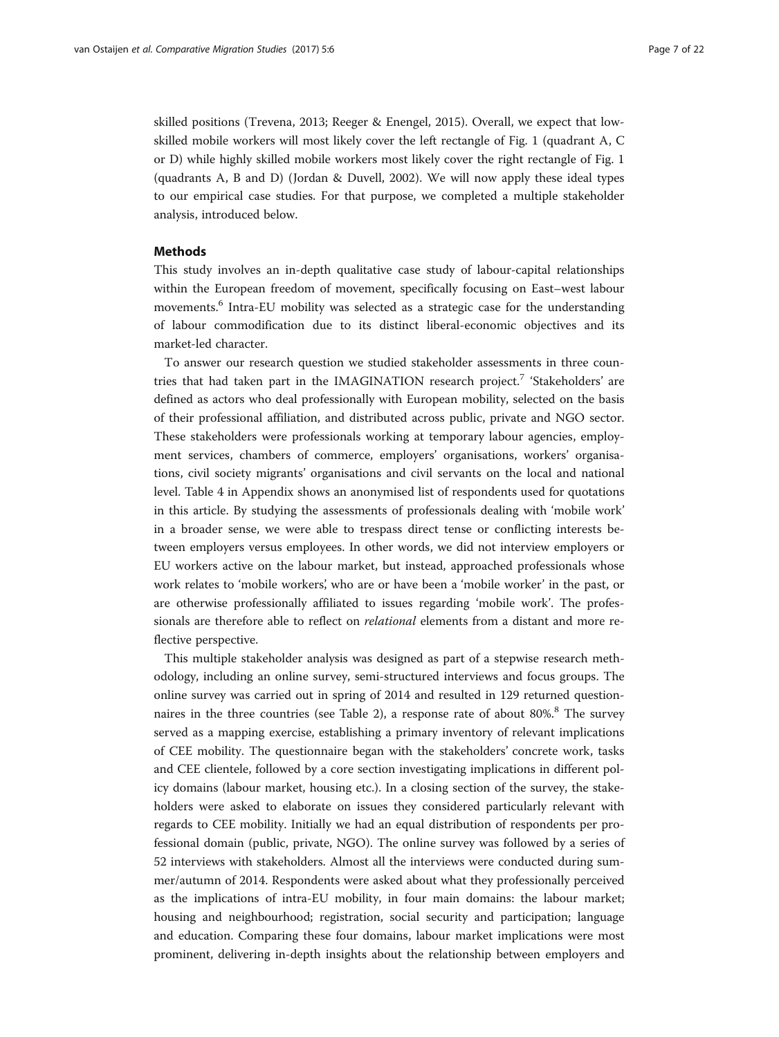skilled positions (Trevena, [2013;](#page-21-0) Reeger & Enengel, [2015\)](#page-20-0). Overall, we expect that lowskilled mobile workers will most likely cover the left rectangle of Fig. [1](#page-5-0) (quadrant A, C or D) while highly skilled mobile workers most likely cover the right rectangle of Fig. [1](#page-5-0) (quadrants A, B and D) (Jordan & Duvell, [2002\)](#page-20-0). We will now apply these ideal types to our empirical case studies. For that purpose, we completed a multiple stakeholder analysis, introduced below.

#### Methods

This study involves an in-depth qualitative case study of labour-capital relationships within the European freedom of movement, specifically focusing on East–west labour movements.6 Intra-EU mobility was selected as a strategic case for the understanding of labour commodification due to its distinct liberal-economic objectives and its market-led character.

To answer our research question we studied stakeholder assessments in three countries that had taken part in the IMAGINATION research project.<sup>7</sup> 'Stakeholders' are defined as actors who deal professionally with European mobility, selected on the basis of their professional affiliation, and distributed across public, private and NGO sector. These stakeholders were professionals working at temporary labour agencies, employment services, chambers of commerce, employers' organisations, workers' organisations, civil society migrants' organisations and civil servants on the local and national level. Table 4 in Appendix shows an anonymised list of respondents used for quotations in this article. By studying the assessments of professionals dealing with 'mobile work' in a broader sense, we were able to trespass direct tense or conflicting interests between employers versus employees. In other words, we did not interview employers or EU workers active on the labour market, but instead, approached professionals whose work relates to 'mobile workers', who are or have been a 'mobile worker' in the past, or are otherwise professionally affiliated to issues regarding 'mobile work'. The professionals are therefore able to reflect on *relational* elements from a distant and more reflective perspective.

This multiple stakeholder analysis was designed as part of a stepwise research methodology, including an online survey, semi-structured interviews and focus groups. The online survey was carried out in spring of 2014 and resulted in 129 returned question-naires in the three countries (see Table [2](#page-7-0)), a response rate of about 80%.<sup>8</sup> The survey served as a mapping exercise, establishing a primary inventory of relevant implications of CEE mobility. The questionnaire began with the stakeholders' concrete work, tasks and CEE clientele, followed by a core section investigating implications in different policy domains (labour market, housing etc.). In a closing section of the survey, the stakeholders were asked to elaborate on issues they considered particularly relevant with regards to CEE mobility. Initially we had an equal distribution of respondents per professional domain (public, private, NGO). The online survey was followed by a series of 52 interviews with stakeholders. Almost all the interviews were conducted during summer/autumn of 2014. Respondents were asked about what they professionally perceived as the implications of intra-EU mobility, in four main domains: the labour market; housing and neighbourhood; registration, social security and participation; language and education. Comparing these four domains, labour market implications were most prominent, delivering in-depth insights about the relationship between employers and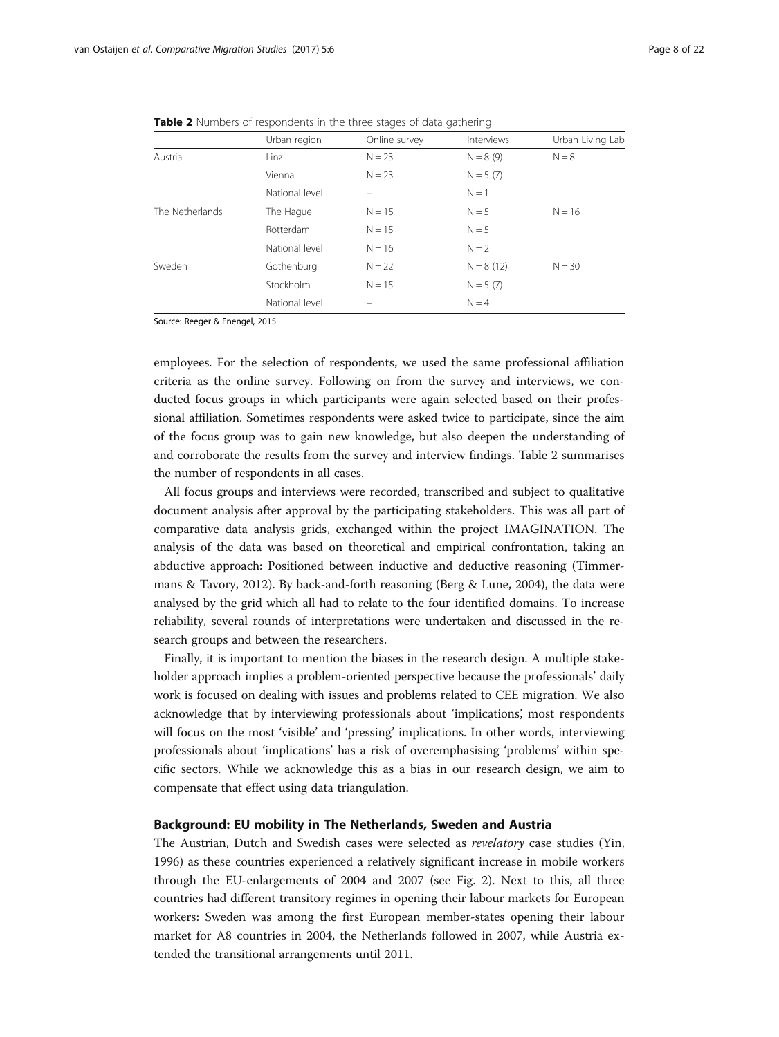|                 | Urban region   | Online survey | Interviews  | Urban Living Lab |
|-----------------|----------------|---------------|-------------|------------------|
| Austria         | Linz           | $N = 23$      | $N = 8(9)$  | $N = 8$          |
|                 | Vienna         | $N = 23$      | $N = 5(7)$  |                  |
|                 | National level |               | $N = 1$     |                  |
| The Netherlands | The Hague      | $N = 15$      | $N = 5$     | $N = 16$         |
|                 | Rotterdam      | $N = 15$      | $N = 5$     |                  |
|                 | National level | $N = 16$      | $N = 2$     |                  |
| Sweden          | Gothenburg     | $N = 22$      | $N = 8(12)$ | $N = 30$         |
|                 | Stockholm      | $N = 15$      | $N = 5(7)$  |                  |
|                 | National level |               | $N = 4$     |                  |

<span id="page-7-0"></span>Table 2 Numbers of respondents in the three stages of data gathering

Source: Reeger & Enengel, [2015](#page-20-0)

employees. For the selection of respondents, we used the same professional affiliation criteria as the online survey. Following on from the survey and interviews, we conducted focus groups in which participants were again selected based on their professional affiliation. Sometimes respondents were asked twice to participate, since the aim of the focus group was to gain new knowledge, but also deepen the understanding of and corroborate the results from the survey and interview findings. Table 2 summarises the number of respondents in all cases.

All focus groups and interviews were recorded, transcribed and subject to qualitative document analysis after approval by the participating stakeholders. This was all part of comparative data analysis grids, exchanged within the project IMAGINATION. The analysis of the data was based on theoretical and empirical confrontation, taking an abductive approach: Positioned between inductive and deductive reasoning (Timmermans & Tavory, [2012](#page-21-0)). By back-and-forth reasoning (Berg & Lune, [2004\)](#page-19-0), the data were analysed by the grid which all had to relate to the four identified domains. To increase reliability, several rounds of interpretations were undertaken and discussed in the research groups and between the researchers.

Finally, it is important to mention the biases in the research design. A multiple stakeholder approach implies a problem-oriented perspective because the professionals' daily work is focused on dealing with issues and problems related to CEE migration. We also acknowledge that by interviewing professionals about 'implications', most respondents will focus on the most 'visible' and 'pressing' implications. In other words, interviewing professionals about 'implications' has a risk of overemphasising 'problems' within specific sectors. While we acknowledge this as a bias in our research design, we aim to compensate that effect using data triangulation.

#### Background: EU mobility in The Netherlands, Sweden and Austria

The Austrian, Dutch and Swedish cases were selected as revelatory case studies (Yin, [1996](#page-21-0)) as these countries experienced a relatively significant increase in mobile workers through the EU-enlargements of 2004 and 2007 (see Fig. [2](#page-8-0)). Next to this, all three countries had different transitory regimes in opening their labour markets for European workers: Sweden was among the first European member-states opening their labour market for A8 countries in 2004, the Netherlands followed in 2007, while Austria extended the transitional arrangements until 2011.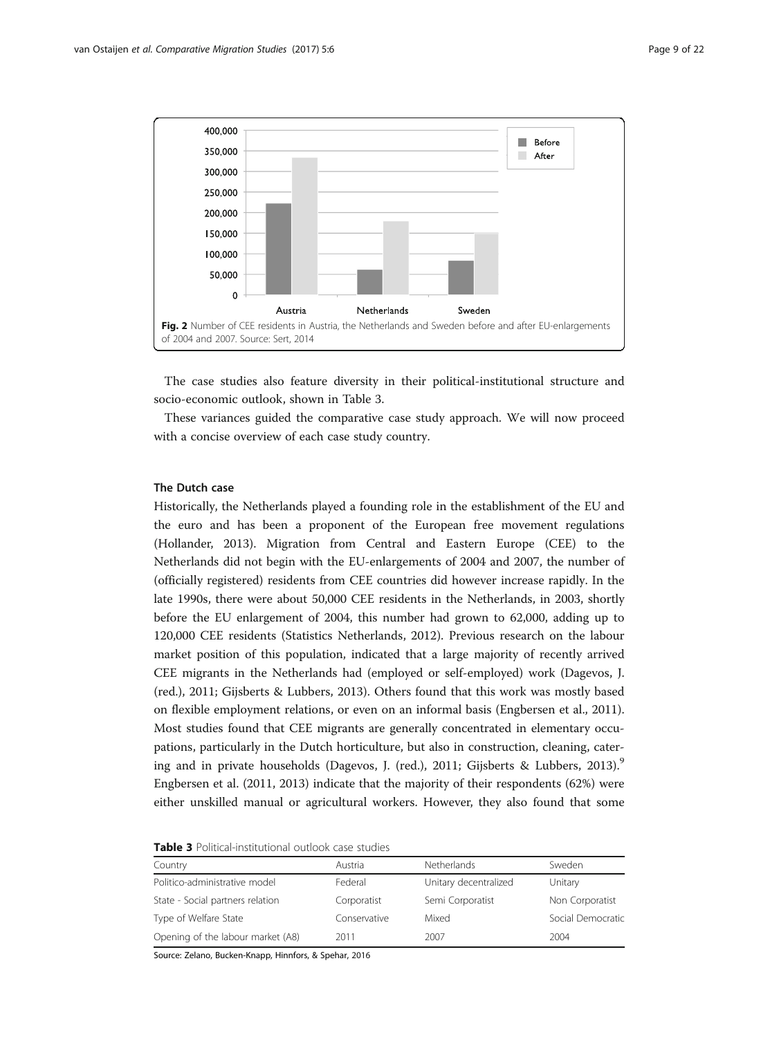<span id="page-8-0"></span>

The case studies also feature diversity in their political-institutional structure and socio-economic outlook, shown in Table 3.

These variances guided the comparative case study approach. We will now proceed with a concise overview of each case study country.

### The Dutch case

Historically, the Netherlands played a founding role in the establishment of the EU and the euro and has been a proponent of the European free movement regulations (Hollander, [2013\)](#page-20-0). Migration from Central and Eastern Europe (CEE) to the Netherlands did not begin with the EU-enlargements of 2004 and 2007, the number of (officially registered) residents from CEE countries did however increase rapidly. In the late 1990s, there were about 50,000 CEE residents in the Netherlands, in 2003, shortly before the EU enlargement of 2004, this number had grown to 62,000, adding up to 120,000 CEE residents (Statistics Netherlands, [2012](#page-21-0)). Previous research on the labour market position of this population, indicated that a large majority of recently arrived CEE migrants in the Netherlands had (employed or self-employed) work (Dagevos, J. (red.), [2011](#page-19-0); Gijsberts & Lubbers, [2013\)](#page-20-0). Others found that this work was mostly based on flexible employment relations, or even on an informal basis (Engbersen et al., [2011](#page-19-0)). Most studies found that CEE migrants are generally concentrated in elementary occupations, particularly in the Dutch horticulture, but also in construction, cleaning, cater-ing and in private households (Dagevos, J. (red.), [2011;](#page-19-0) Gijsberts & Lubbers, [2013\)](#page-20-0).<sup>9</sup> Engbersen et al. ([2011, 2013](#page-19-0)) indicate that the majority of their respondents (62%) were either unskilled manual or agricultural workers. However, they also found that some

| <b>Table 3</b> Political-institutional outlook case studies |
|-------------------------------------------------------------|
|-------------------------------------------------------------|

| Country                           | Austria      | <b>Netherlands</b>    | Sweden            |
|-----------------------------------|--------------|-----------------------|-------------------|
| Politico-administrative model     | Federal      | Unitary decentralized | Unitary           |
| State - Social partners relation  | Corporatist  | Semi Corporatist      | Non Corporatist   |
| Type of Welfare State             | Conservative | Mixed                 | Social Democratic |
| Opening of the labour market (A8) | 2011         | 2007                  | 2004              |

Source: Zelano, Bucken-Knapp, Hinnfors, & Spehar, [2016](#page-21-0)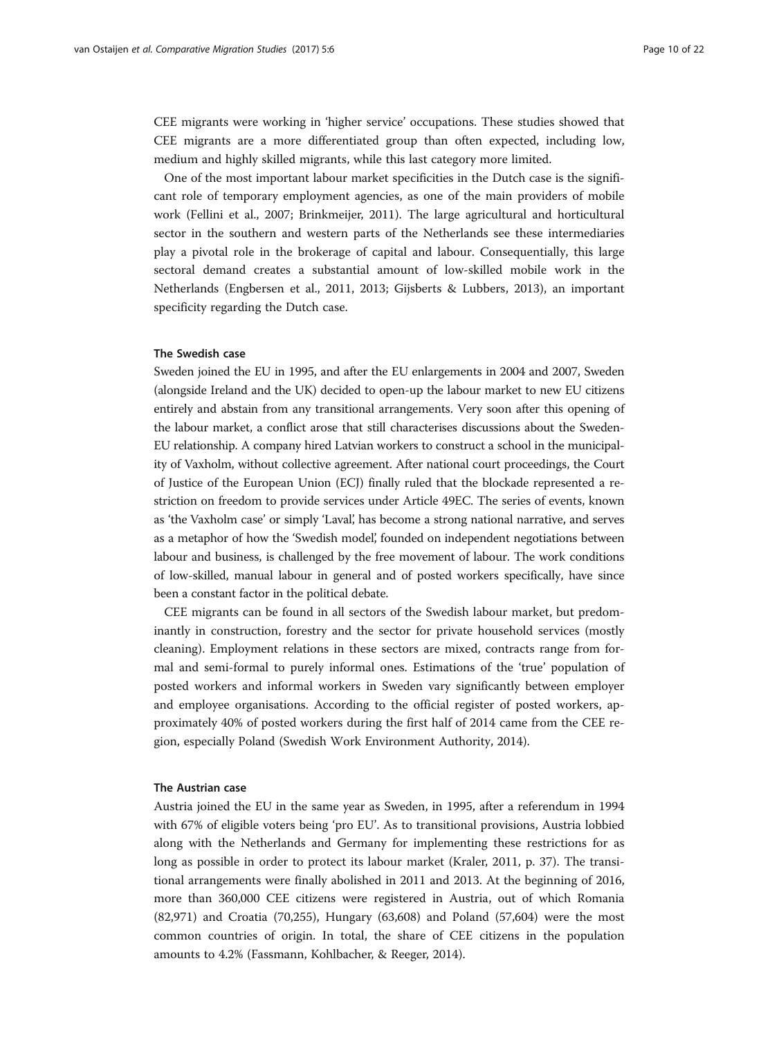CEE migrants were working in 'higher service' occupations. These studies showed that CEE migrants are a more differentiated group than often expected, including low, medium and highly skilled migrants, while this last category more limited.

One of the most important labour market specificities in the Dutch case is the significant role of temporary employment agencies, as one of the main providers of mobile work (Fellini et al., [2007](#page-19-0); Brinkmeijer, [2011](#page-19-0)). The large agricultural and horticultural sector in the southern and western parts of the Netherlands see these intermediaries play a pivotal role in the brokerage of capital and labour. Consequentially, this large sectoral demand creates a substantial amount of low-skilled mobile work in the Netherlands (Engbersen et al., [2011, 2013](#page-19-0); Gijsberts & Lubbers, [2013\)](#page-20-0), an important specificity regarding the Dutch case.

### The Swedish case

Sweden joined the EU in 1995, and after the EU enlargements in 2004 and 2007, Sweden (alongside Ireland and the UK) decided to open-up the labour market to new EU citizens entirely and abstain from any transitional arrangements. Very soon after this opening of the labour market, a conflict arose that still characterises discussions about the Sweden-EU relationship. A company hired Latvian workers to construct a school in the municipality of Vaxholm, without collective agreement. After national court proceedings, the Court of Justice of the European Union (ECJ) finally ruled that the blockade represented a restriction on freedom to provide services under Article 49EC. The series of events, known as 'the Vaxholm case' or simply 'Laval', has become a strong national narrative, and serves as a metaphor of how the 'Swedish model', founded on independent negotiations between labour and business, is challenged by the free movement of labour. The work conditions of low-skilled, manual labour in general and of posted workers specifically, have since been a constant factor in the political debate.

CEE migrants can be found in all sectors of the Swedish labour market, but predominantly in construction, forestry and the sector for private household services (mostly cleaning). Employment relations in these sectors are mixed, contracts range from formal and semi-formal to purely informal ones. Estimations of the 'true' population of posted workers and informal workers in Sweden vary significantly between employer and employee organisations. According to the official register of posted workers, approximately 40% of posted workers during the first half of 2014 came from the CEE region, especially Poland (Swedish Work Environment Authority, [2014\)](#page-21-0).

### The Austrian case

Austria joined the EU in the same year as Sweden, in 1995, after a referendum in 1994 with 67% of eligible voters being 'pro EU'. As to transitional provisions, Austria lobbied along with the Netherlands and Germany for implementing these restrictions for as long as possible in order to protect its labour market (Kraler, [2011](#page-20-0), p. 37). The transitional arrangements were finally abolished in 2011 and 2013. At the beginning of 2016, more than 360,000 CEE citizens were registered in Austria, out of which Romania (82,971) and Croatia (70,255), Hungary (63,608) and Poland (57,604) were the most common countries of origin. In total, the share of CEE citizens in the population amounts to 4.2% (Fassmann, Kohlbacher, & Reeger, [2014\)](#page-19-0).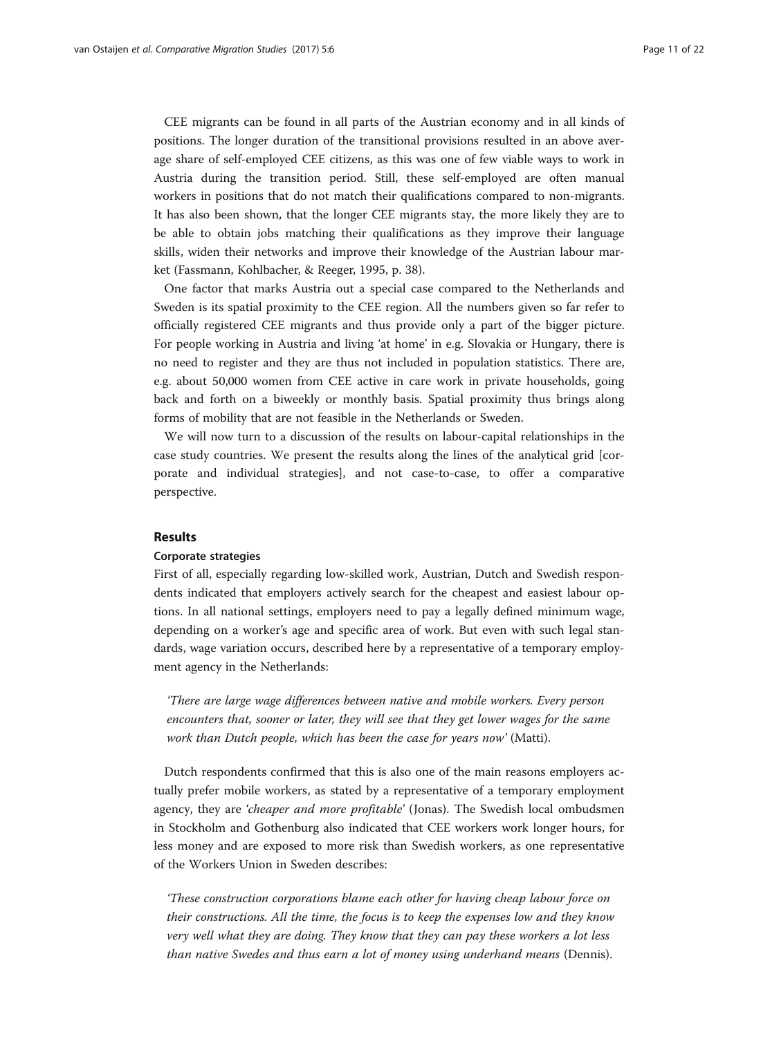CEE migrants can be found in all parts of the Austrian economy and in all kinds of positions. The longer duration of the transitional provisions resulted in an above average share of self-employed CEE citizens, as this was one of few viable ways to work in Austria during the transition period. Still, these self-employed are often manual workers in positions that do not match their qualifications compared to non-migrants. It has also been shown, that the longer CEE migrants stay, the more likely they are to be able to obtain jobs matching their qualifications as they improve their language skills, widen their networks and improve their knowledge of the Austrian labour market (Fassmann, Kohlbacher, & Reeger, [1995,](#page-19-0) p. 38).

One factor that marks Austria out a special case compared to the Netherlands and Sweden is its spatial proximity to the CEE region. All the numbers given so far refer to officially registered CEE migrants and thus provide only a part of the bigger picture. For people working in Austria and living 'at home' in e.g. Slovakia or Hungary, there is no need to register and they are thus not included in population statistics. There are, e.g. about 50,000 women from CEE active in care work in private households, going back and forth on a biweekly or monthly basis. Spatial proximity thus brings along forms of mobility that are not feasible in the Netherlands or Sweden.

We will now turn to a discussion of the results on labour-capital relationships in the case study countries. We present the results along the lines of the analytical grid [corporate and individual strategies], and not case-to-case, to offer a comparative perspective.

### Results

#### Corporate strategies

First of all, especially regarding low-skilled work, Austrian, Dutch and Swedish respondents indicated that employers actively search for the cheapest and easiest labour options. In all national settings, employers need to pay a legally defined minimum wage, depending on a worker's age and specific area of work. But even with such legal standards, wage variation occurs, described here by a representative of a temporary employment agency in the Netherlands:

'There are large wage differences between native and mobile workers. Every person encounters that, sooner or later, they will see that they get lower wages for the same work than Dutch people, which has been the case for years now' (Matti).

Dutch respondents confirmed that this is also one of the main reasons employers actually prefer mobile workers, as stated by a representative of a temporary employment agency, they are 'cheaper and more profitable' (Jonas). The Swedish local ombudsmen in Stockholm and Gothenburg also indicated that CEE workers work longer hours, for less money and are exposed to more risk than Swedish workers, as one representative of the Workers Union in Sweden describes:

'These construction corporations blame each other for having cheap labour force on their constructions. All the time, the focus is to keep the expenses low and they know very well what they are doing. They know that they can pay these workers a lot less than native Swedes and thus earn a lot of money using underhand means (Dennis).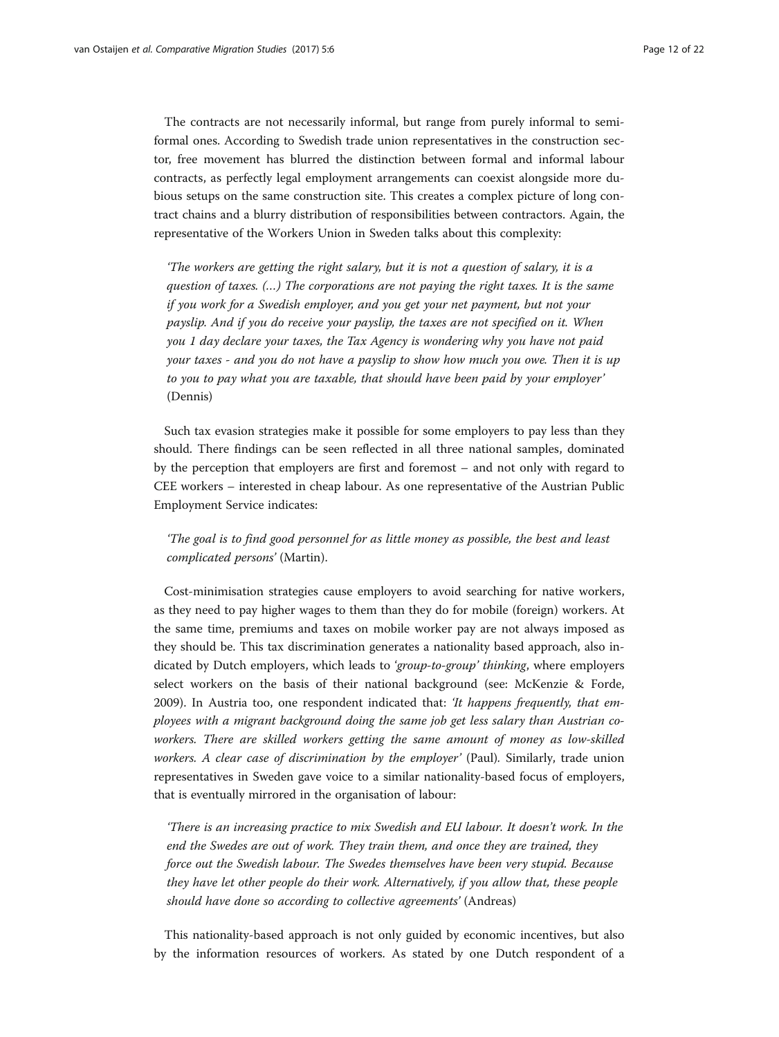The contracts are not necessarily informal, but range from purely informal to semiformal ones. According to Swedish trade union representatives in the construction sector, free movement has blurred the distinction between formal and informal labour contracts, as perfectly legal employment arrangements can coexist alongside more dubious setups on the same construction site. This creates a complex picture of long contract chains and a blurry distribution of responsibilities between contractors. Again, the representative of the Workers Union in Sweden talks about this complexity:

'The workers are getting the right salary, but it is not a question of salary, it is a question of taxes. (…) The corporations are not paying the right taxes. It is the same if you work for a Swedish employer, and you get your net payment, but not your payslip. And if you do receive your payslip, the taxes are not specified on it. When you 1 day declare your taxes, the Tax Agency is wondering why you have not paid your taxes - and you do not have a payslip to show how much you owe. Then it is up to you to pay what you are taxable, that should have been paid by your employer' (Dennis)

Such tax evasion strategies make it possible for some employers to pay less than they should. There findings can be seen reflected in all three national samples, dominated by the perception that employers are first and foremost – and not only with regard to CEE workers – interested in cheap labour. As one representative of the Austrian Public Employment Service indicates:

## 'The goal is to find good personnel for as little money as possible, the best and least complicated persons' (Martin).

Cost-minimisation strategies cause employers to avoid searching for native workers, as they need to pay higher wages to them than they do for mobile (foreign) workers. At the same time, premiums and taxes on mobile worker pay are not always imposed as they should be. This tax discrimination generates a nationality based approach, also indicated by Dutch employers, which leads to 'group-to-group' thinking, where employers select workers on the basis of their national background (see: McKenzie & Forde, [2009](#page-20-0)). In Austria too, one respondent indicated that: 'It happens frequently, that employees with a migrant background doing the same job get less salary than Austrian coworkers. There are skilled workers getting the same amount of money as low-skilled workers. A clear case of discrimination by the employer' (Paul). Similarly, trade union representatives in Sweden gave voice to a similar nationality-based focus of employers, that is eventually mirrored in the organisation of labour:

'There is an increasing practice to mix Swedish and EU labour. It doesn't work. In the end the Swedes are out of work. They train them, and once they are trained, they force out the Swedish labour. The Swedes themselves have been very stupid. Because they have let other people do their work. Alternatively, if you allow that, these people should have done so according to collective agreements' (Andreas)

This nationality-based approach is not only guided by economic incentives, but also by the information resources of workers. As stated by one Dutch respondent of a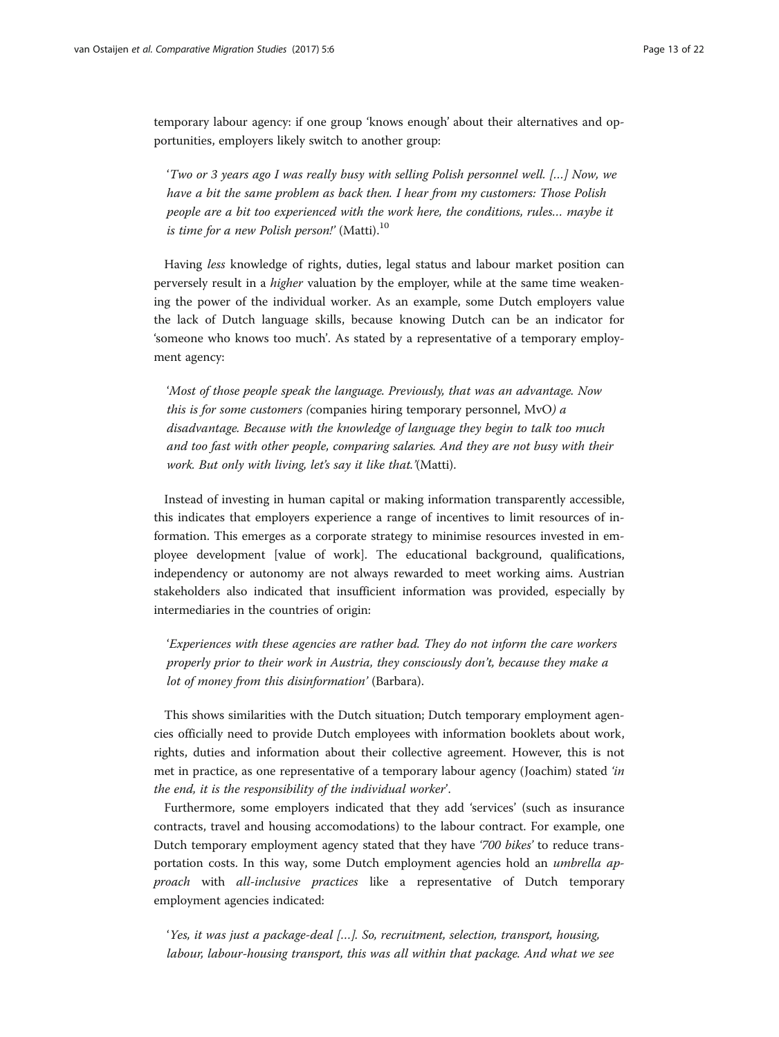temporary labour agency: if one group 'knows enough' about their alternatives and opportunities, employers likely switch to another group:

'Two or 3 years ago I was really busy with selling Polish personnel well. […] Now, we have a bit the same problem as back then. I hear from my customers: Those Polish people are a bit too experienced with the work here, the conditions, rules… maybe it is time for a new Polish person!' (Matti).<sup>10</sup>

Having less knowledge of rights, duties, legal status and labour market position can perversely result in a higher valuation by the employer, while at the same time weakening the power of the individual worker. As an example, some Dutch employers value the lack of Dutch language skills, because knowing Dutch can be an indicator for 'someone who knows too much'. As stated by a representative of a temporary employment agency:

'Most of those people speak the language. Previously, that was an advantage. Now this is for some customers (companies hiring temporary personnel, MvO) a disadvantage. Because with the knowledge of language they begin to talk too much and too fast with other people, comparing salaries. And they are not busy with their work. But only with living, let's say it like that.'(Matti).

Instead of investing in human capital or making information transparently accessible, this indicates that employers experience a range of incentives to limit resources of information. This emerges as a corporate strategy to minimise resources invested in employee development [value of work]. The educational background, qualifications, independency or autonomy are not always rewarded to meet working aims. Austrian stakeholders also indicated that insufficient information was provided, especially by intermediaries in the countries of origin:

'Experiences with these agencies are rather bad. They do not inform the care workers properly prior to their work in Austria, they consciously don't, because they make a lot of money from this disinformation' (Barbara).

This shows similarities with the Dutch situation; Dutch temporary employment agencies officially need to provide Dutch employees with information booklets about work, rights, duties and information about their collective agreement. However, this is not met in practice, as one representative of a temporary labour agency (Joachim) stated 'in the end, it is the responsibility of the individual worker'.

Furthermore, some employers indicated that they add 'services' (such as insurance contracts, travel and housing accomodations) to the labour contract. For example, one Dutch temporary employment agency stated that they have '700 bikes' to reduce transportation costs. In this way, some Dutch employment agencies hold an *umbrella ap*proach with all-inclusive practices like a representative of Dutch temporary employment agencies indicated:

'Yes, it was just a package-deal […]. So, recruitment, selection, transport, housing, labour, labour-housing transport, this was all within that package. And what we see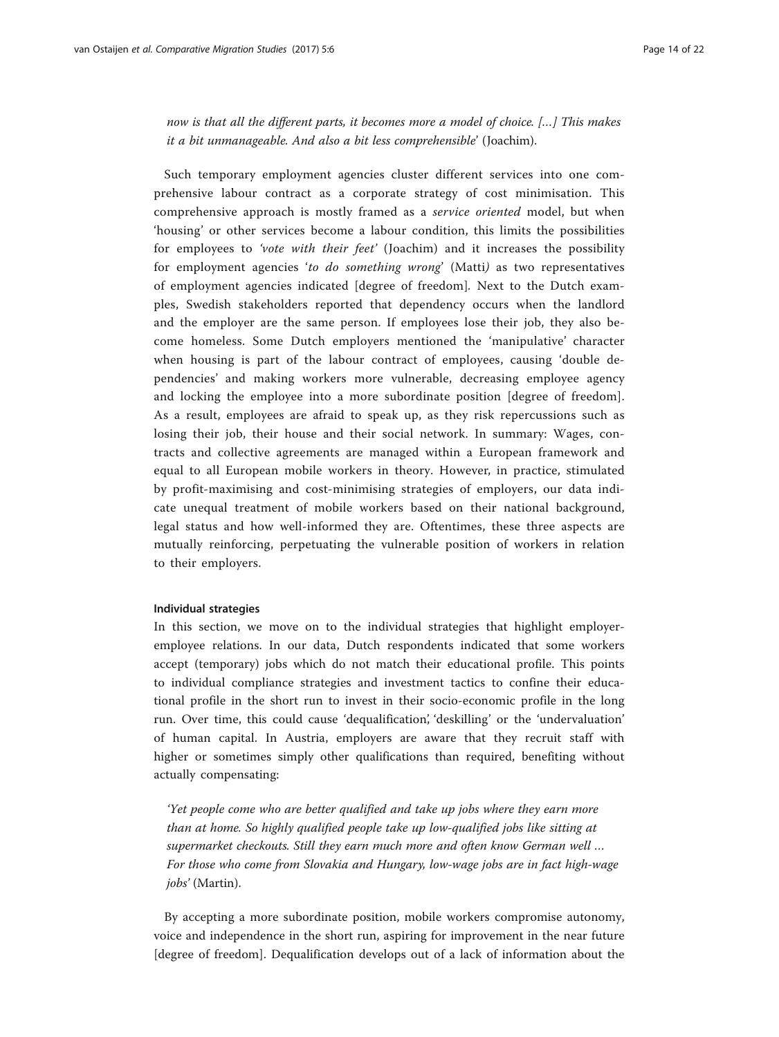now is that all the different parts, it becomes more a model of choice. […] This makes it a bit unmanageable. And also a bit less comprehensible' (Joachim).

Such temporary employment agencies cluster different services into one comprehensive labour contract as a corporate strategy of cost minimisation. This comprehensive approach is mostly framed as a service oriented model, but when 'housing' or other services become a labour condition, this limits the possibilities for employees to 'vote with their feet' (Joachim) and it increases the possibility for employment agencies 'to do something wrong' (Matti) as two representatives of employment agencies indicated [degree of freedom]. Next to the Dutch examples, Swedish stakeholders reported that dependency occurs when the landlord and the employer are the same person. If employees lose their job, they also become homeless. Some Dutch employers mentioned the 'manipulative' character when housing is part of the labour contract of employees, causing 'double dependencies' and making workers more vulnerable, decreasing employee agency and locking the employee into a more subordinate position [degree of freedom]. As a result, employees are afraid to speak up, as they risk repercussions such as losing their job, their house and their social network. In summary: Wages, contracts and collective agreements are managed within a European framework and equal to all European mobile workers in theory. However, in practice, stimulated by profit-maximising and cost-minimising strategies of employers, our data indicate unequal treatment of mobile workers based on their national background, legal status and how well-informed they are. Oftentimes, these three aspects are mutually reinforcing, perpetuating the vulnerable position of workers in relation to their employers.

### Individual strategies

In this section, we move on to the individual strategies that highlight employeremployee relations. In our data, Dutch respondents indicated that some workers accept (temporary) jobs which do not match their educational profile. This points to individual compliance strategies and investment tactics to confine their educational profile in the short run to invest in their socio-economic profile in the long run. Over time, this could cause 'dequalification', 'deskilling' or the 'undervaluation' of human capital. In Austria, employers are aware that they recruit staff with higher or sometimes simply other qualifications than required, benefiting without actually compensating:

'Yet people come who are better qualified and take up jobs where they earn more than at home. So highly qualified people take up low-qualified jobs like sitting at supermarket checkouts. Still they earn much more and often know German well … For those who come from Slovakia and Hungary, low-wage jobs are in fact high-wage jobs' (Martin).

By accepting a more subordinate position, mobile workers compromise autonomy, voice and independence in the short run, aspiring for improvement in the near future [degree of freedom]. Dequalification develops out of a lack of information about the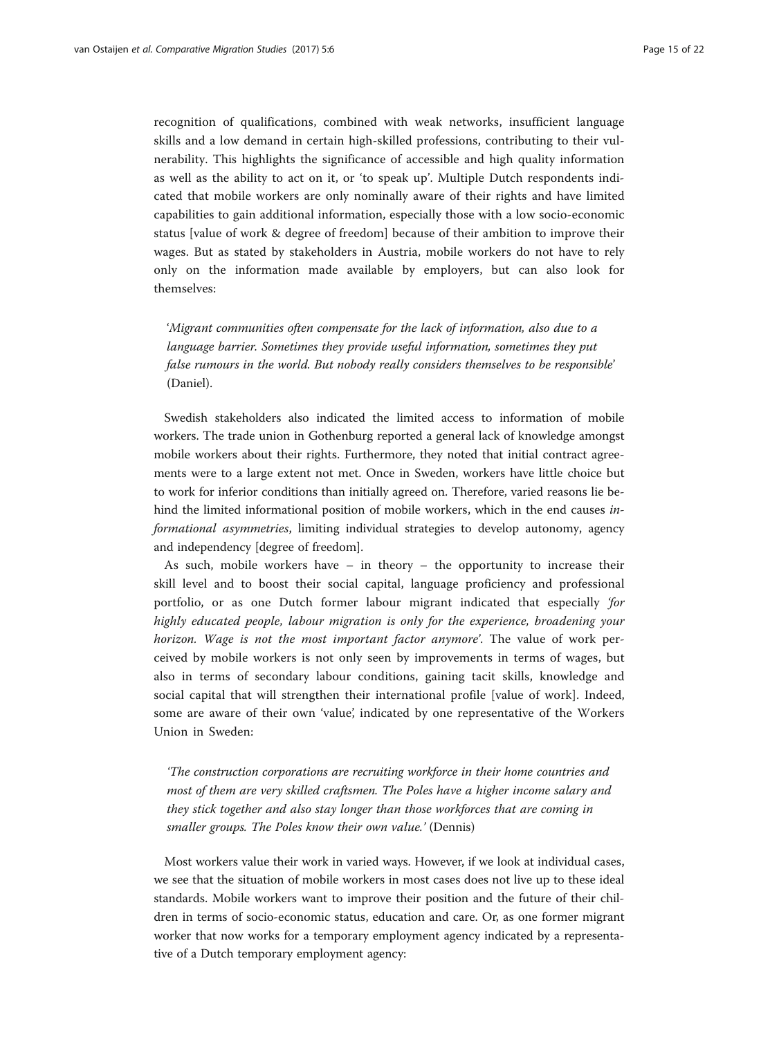recognition of qualifications, combined with weak networks, insufficient language skills and a low demand in certain high-skilled professions, contributing to their vulnerability. This highlights the significance of accessible and high quality information as well as the ability to act on it, or 'to speak up'. Multiple Dutch respondents indicated that mobile workers are only nominally aware of their rights and have limited capabilities to gain additional information, especially those with a low socio-economic status [value of work & degree of freedom] because of their ambition to improve their wages. But as stated by stakeholders in Austria, mobile workers do not have to rely only on the information made available by employers, but can also look for themselves:

'Migrant communities often compensate for the lack of information, also due to a language barrier. Sometimes they provide useful information, sometimes they put false rumours in the world. But nobody really considers themselves to be responsible' (Daniel).

Swedish stakeholders also indicated the limited access to information of mobile workers. The trade union in Gothenburg reported a general lack of knowledge amongst mobile workers about their rights. Furthermore, they noted that initial contract agreements were to a large extent not met. Once in Sweden, workers have little choice but to work for inferior conditions than initially agreed on. Therefore, varied reasons lie behind the limited informational position of mobile workers, which in the end causes informational asymmetries, limiting individual strategies to develop autonomy, agency and independency [degree of freedom].

As such, mobile workers have – in theory – the opportunity to increase their skill level and to boost their social capital, language proficiency and professional portfolio, or as one Dutch former labour migrant indicated that especially 'for highly educated people, labour migration is only for the experience, broadening your horizon. Wage is not the most important factor anymore'. The value of work perceived by mobile workers is not only seen by improvements in terms of wages, but also in terms of secondary labour conditions, gaining tacit skills, knowledge and social capital that will strengthen their international profile [value of work]. Indeed, some are aware of their own 'value', indicated by one representative of the Workers Union in Sweden:

'The construction corporations are recruiting workforce in their home countries and most of them are very skilled craftsmen. The Poles have a higher income salary and they stick together and also stay longer than those workforces that are coming in smaller groups. The Poles know their own value.' (Dennis)

Most workers value their work in varied ways. However, if we look at individual cases, we see that the situation of mobile workers in most cases does not live up to these ideal standards. Mobile workers want to improve their position and the future of their children in terms of socio-economic status, education and care. Or, as one former migrant worker that now works for a temporary employment agency indicated by a representative of a Dutch temporary employment agency: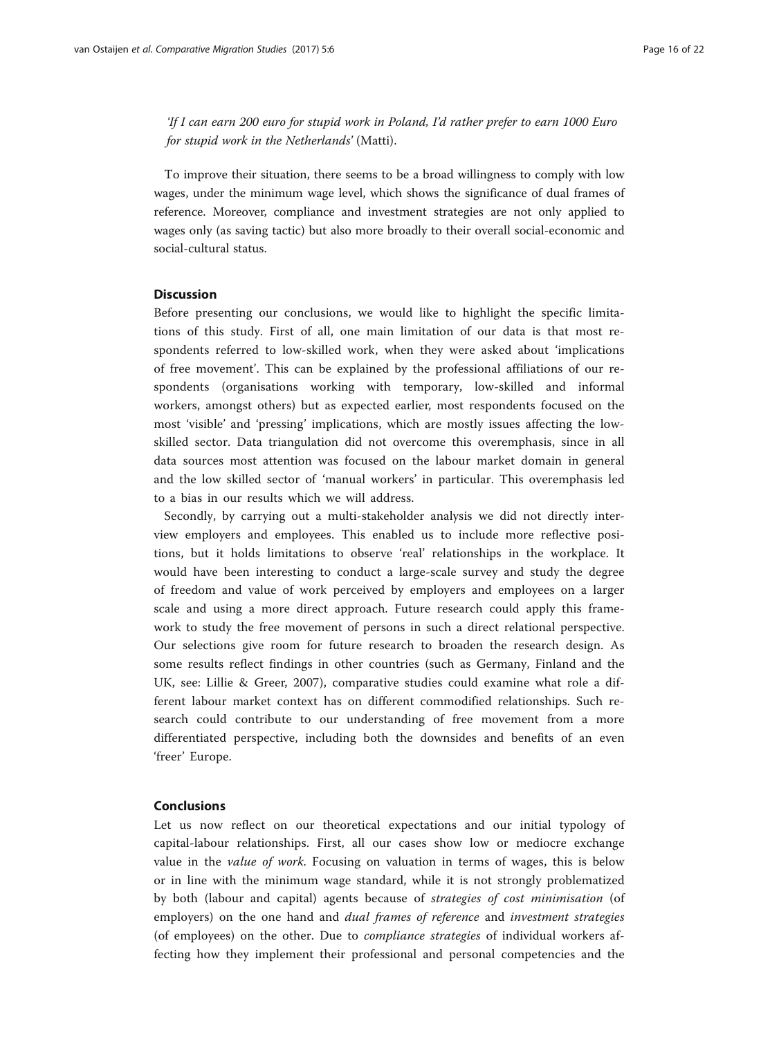'If I can earn 200 euro for stupid work in Poland, I'd rather prefer to earn 1000 Euro for stupid work in the Netherlands' (Matti).

To improve their situation, there seems to be a broad willingness to comply with low wages, under the minimum wage level, which shows the significance of dual frames of reference. Moreover, compliance and investment strategies are not only applied to wages only (as saving tactic) but also more broadly to their overall social-economic and social-cultural status.

#### **Discussion**

Before presenting our conclusions, we would like to highlight the specific limitations of this study. First of all, one main limitation of our data is that most respondents referred to low-skilled work, when they were asked about 'implications of free movement'. This can be explained by the professional affiliations of our respondents (organisations working with temporary, low-skilled and informal workers, amongst others) but as expected earlier, most respondents focused on the most 'visible' and 'pressing' implications, which are mostly issues affecting the lowskilled sector. Data triangulation did not overcome this overemphasis, since in all data sources most attention was focused on the labour market domain in general and the low skilled sector of 'manual workers' in particular. This overemphasis led to a bias in our results which we will address.

Secondly, by carrying out a multi-stakeholder analysis we did not directly interview employers and employees. This enabled us to include more reflective positions, but it holds limitations to observe 'real' relationships in the workplace. It would have been interesting to conduct a large-scale survey and study the degree of freedom and value of work perceived by employers and employees on a larger scale and using a more direct approach. Future research could apply this framework to study the free movement of persons in such a direct relational perspective. Our selections give room for future research to broaden the research design. As some results reflect findings in other countries (such as Germany, Finland and the UK, see: Lillie & Greer, [2007](#page-20-0)), comparative studies could examine what role a different labour market context has on different commodified relationships. Such research could contribute to our understanding of free movement from a more differentiated perspective, including both the downsides and benefits of an even 'freer' Europe.

#### Conclusions

Let us now reflect on our theoretical expectations and our initial typology of capital-labour relationships. First, all our cases show low or mediocre exchange value in the value of work. Focusing on valuation in terms of wages, this is below or in line with the minimum wage standard, while it is not strongly problematized by both (labour and capital) agents because of strategies of cost minimisation (of employers) on the one hand and *dual frames of reference* and *investment strategies* (of employees) on the other. Due to compliance strategies of individual workers affecting how they implement their professional and personal competencies and the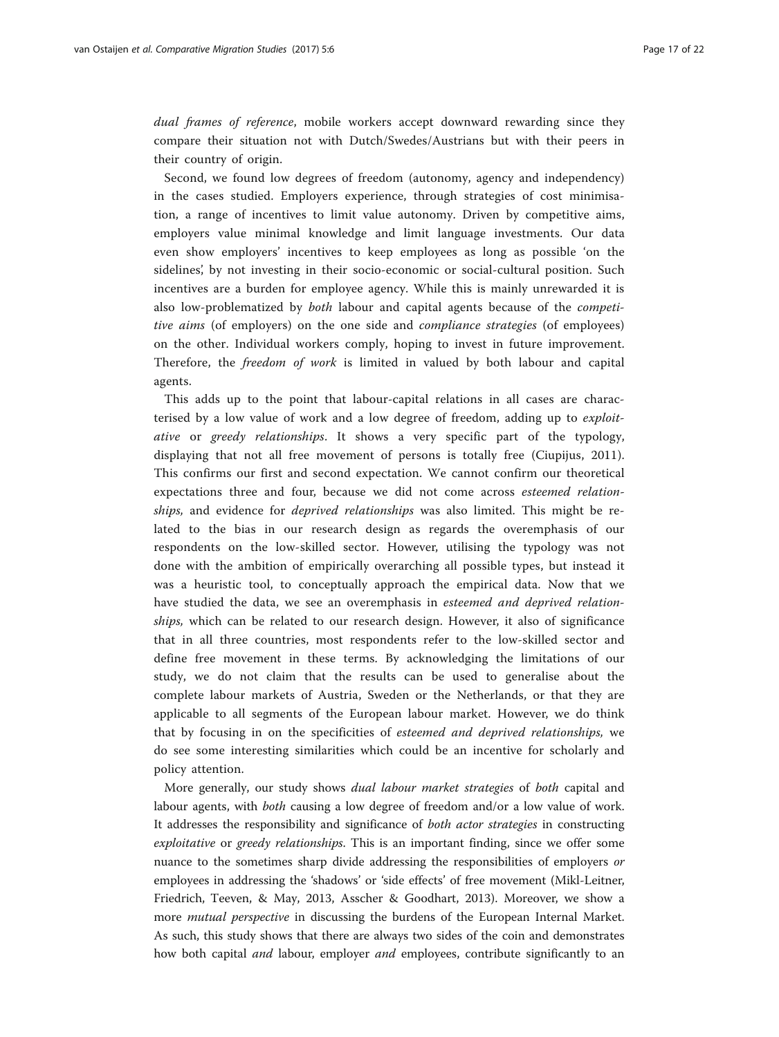dual frames of reference, mobile workers accept downward rewarding since they compare their situation not with Dutch/Swedes/Austrians but with their peers in their country of origin.

Second, we found low degrees of freedom (autonomy, agency and independency) in the cases studied. Employers experience, through strategies of cost minimisation, a range of incentives to limit value autonomy. Driven by competitive aims, employers value minimal knowledge and limit language investments. Our data even show employers' incentives to keep employees as long as possible 'on the sidelines', by not investing in their socio-economic or social-cultural position. Such incentives are a burden for employee agency. While this is mainly unrewarded it is also low-problematized by both labour and capital agents because of the competitive aims (of employers) on the one side and compliance strategies (of employees) on the other. Individual workers comply, hoping to invest in future improvement. Therefore, the freedom of work is limited in valued by both labour and capital agents.

This adds up to the point that labour-capital relations in all cases are characterised by a low value of work and a low degree of freedom, adding up to exploitative or greedy relationships. It shows a very specific part of the typology, displaying that not all free movement of persons is totally free (Ciupijus, [2011](#page-19-0)). This confirms our first and second expectation. We cannot confirm our theoretical expectations three and four, because we did not come across esteemed relationships, and evidence for *deprived relationships* was also limited. This might be related to the bias in our research design as regards the overemphasis of our respondents on the low-skilled sector. However, utilising the typology was not done with the ambition of empirically overarching all possible types, but instead it was a heuristic tool, to conceptually approach the empirical data. Now that we have studied the data, we see an overemphasis in esteemed and deprived relationships, which can be related to our research design. However, it also of significance that in all three countries, most respondents refer to the low-skilled sector and define free movement in these terms. By acknowledging the limitations of our study, we do not claim that the results can be used to generalise about the complete labour markets of Austria, Sweden or the Netherlands, or that they are applicable to all segments of the European labour market. However, we do think that by focusing in on the specificities of esteemed and deprived relationships, we do see some interesting similarities which could be an incentive for scholarly and policy attention.

More generally, our study shows *dual labour market strategies* of *both* capital and labour agents, with both causing a low degree of freedom and/or a low value of work. It addresses the responsibility and significance of both actor strategies in constructing exploitative or greedy relationships. This is an important finding, since we offer some nuance to the sometimes sharp divide addressing the responsibilities of employers or employees in addressing the 'shadows' or 'side effects' of free movement (Mikl-Leitner, Friedrich, Teeven, & May, [2013,](#page-20-0) Asscher & Goodhart, [2013](#page-19-0)). Moreover, we show a more mutual perspective in discussing the burdens of the European Internal Market. As such, this study shows that there are always two sides of the coin and demonstrates how both capital *and* labour, employer *and* employees, contribute significantly to an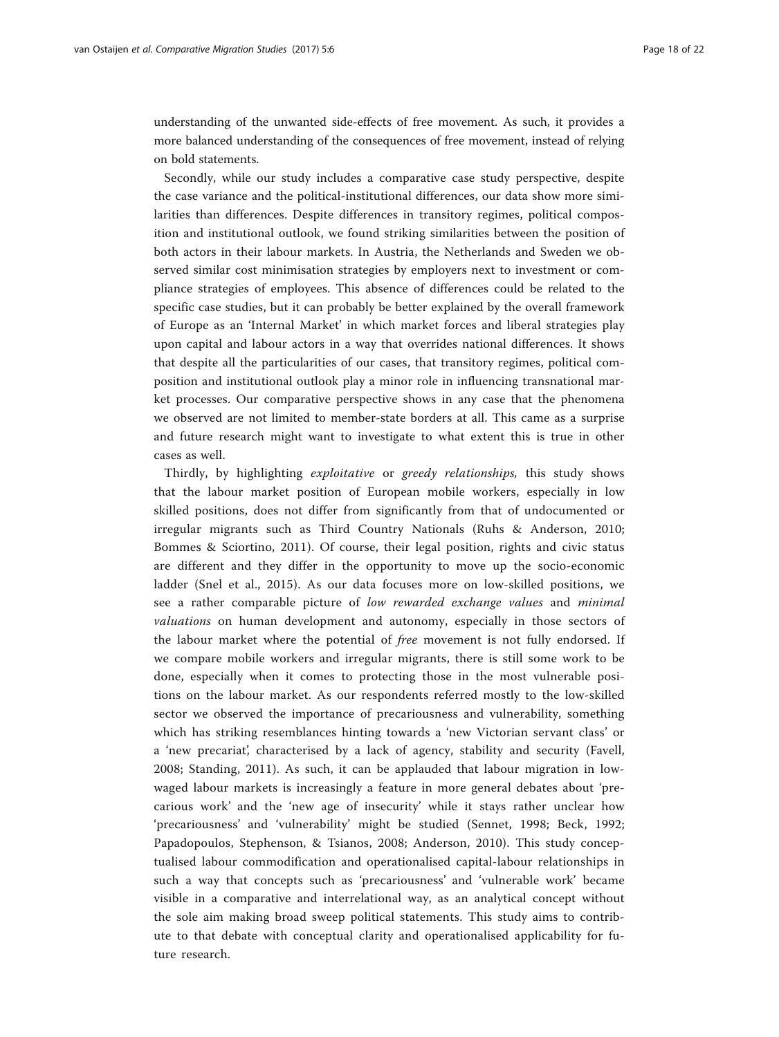understanding of the unwanted side-effects of free movement. As such, it provides a more balanced understanding of the consequences of free movement, instead of relying on bold statements.

Secondly, while our study includes a comparative case study perspective, despite the case variance and the political-institutional differences, our data show more similarities than differences. Despite differences in transitory regimes, political composition and institutional outlook, we found striking similarities between the position of both actors in their labour markets. In Austria, the Netherlands and Sweden we observed similar cost minimisation strategies by employers next to investment or compliance strategies of employees. This absence of differences could be related to the specific case studies, but it can probably be better explained by the overall framework of Europe as an 'Internal Market' in which market forces and liberal strategies play upon capital and labour actors in a way that overrides national differences. It shows that despite all the particularities of our cases, that transitory regimes, political composition and institutional outlook play a minor role in influencing transnational market processes. Our comparative perspective shows in any case that the phenomena we observed are not limited to member-state borders at all. This came as a surprise and future research might want to investigate to what extent this is true in other cases as well.

Thirdly, by highlighting exploitative or greedy relationships, this study shows that the labour market position of European mobile workers, especially in low skilled positions, does not differ from significantly from that of undocumented or irregular migrants such as Third Country Nationals (Ruhs & Anderson, [2010](#page-20-0); Bommes & Sciortino, [2011\)](#page-19-0). Of course, their legal position, rights and civic status are different and they differ in the opportunity to move up the socio-economic ladder (Snel et al., [2015](#page-20-0)). As our data focuses more on low-skilled positions, we see a rather comparable picture of low rewarded exchange values and minimal valuations on human development and autonomy, especially in those sectors of the labour market where the potential of free movement is not fully endorsed. If we compare mobile workers and irregular migrants, there is still some work to be done, especially when it comes to protecting those in the most vulnerable positions on the labour market. As our respondents referred mostly to the low-skilled sector we observed the importance of precariousness and vulnerability, something which has striking resemblances hinting towards a 'new Victorian servant class' or a 'new precariat', characterised by a lack of agency, stability and security (Favell, [2008;](#page-19-0) Standing, [2011](#page-20-0)). As such, it can be applauded that labour migration in lowwaged labour markets is increasingly a feature in more general debates about 'precarious work' and the 'new age of insecurity' while it stays rather unclear how 'precariousness' and 'vulnerability' might be studied (Sennet, [1998;](#page-20-0) Beck, [1992](#page-19-0); Papadopoulos, Stephenson, & Tsianos, [2008](#page-20-0); Anderson, [2010](#page-19-0)). This study conceptualised labour commodification and operationalised capital-labour relationships in such a way that concepts such as 'precariousness' and 'vulnerable work' became visible in a comparative and interrelational way, as an analytical concept without the sole aim making broad sweep political statements. This study aims to contribute to that debate with conceptual clarity and operationalised applicability for future research.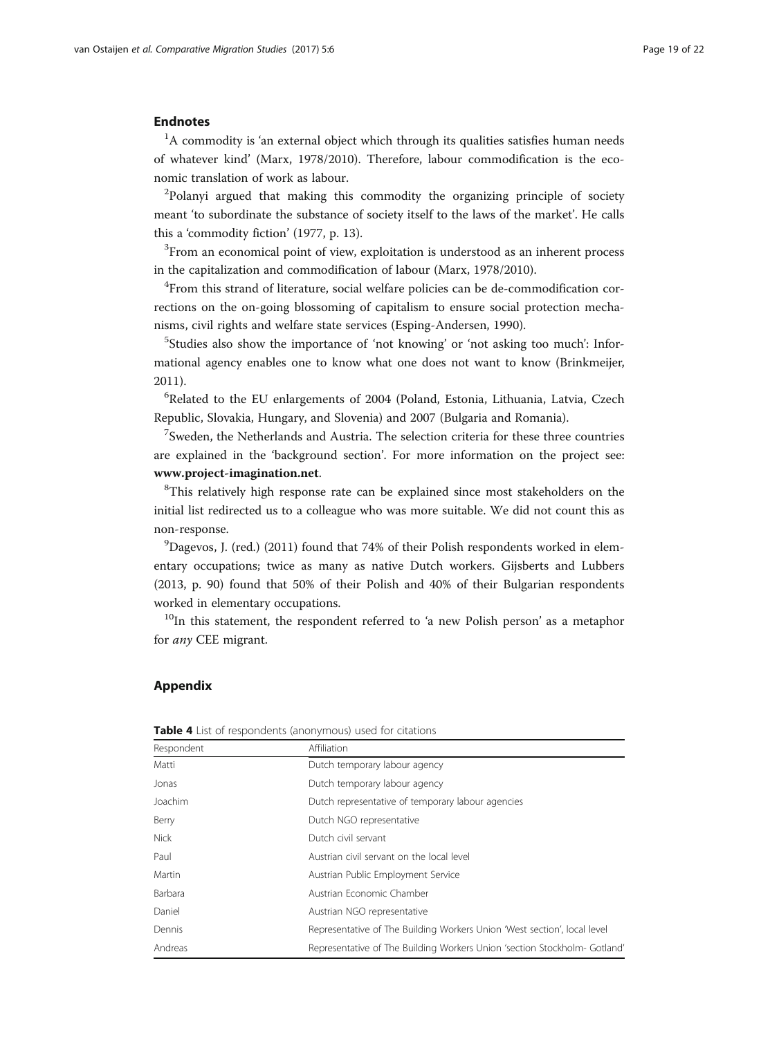#### **Endnotes**

 $<sup>1</sup>A$  commodity is 'an external object which through its qualities satisfies human needs</sup> of whatever kind' (Marx, [1978/2010\)](#page-20-0). Therefore, labour commodification is the economic translation of work as labour.

<sup>2</sup>Polanyi argued that making this commodity the organizing principle of society meant 'to subordinate the substance of society itself to the laws of the market'. He calls this a 'commodity fiction' [\(1977,](#page-20-0) p. 13).

<sup>3</sup>From an economical point of view, exploitation is understood as an inherent process in the capitalization and commodification of labour (Marx, [1978/2010](#page-20-0)).

<sup>4</sup>From this strand of literature, social welfare policies can be de-commodification corrections on the on-going blossoming of capitalism to ensure social protection mechanisms, civil rights and welfare state services (Esping-Andersen, [1990\)](#page-19-0).

<sup>5</sup>Studies also show the importance of 'not knowing' or 'not asking too much': Informational agency enables one to know what one does not want to know (Brinkmeijer, [2011](#page-19-0)).

6 Related to the EU enlargements of 2004 (Poland, Estonia, Lithuania, Latvia, Czech Republic, Slovakia, Hungary, and Slovenia) and 2007 (Bulgaria and Romania).

 $7$ Sweden, the Netherlands and Austria. The selection criteria for these three countries are explained in the 'background section'. For more information on the project see: [www.project-imagination.net](http://www.project-imagination.net/).

<sup>8</sup>This relatively high response rate can be explained since most stakeholders on the initial list redirected us to a colleague who was more suitable. We did not count this as non-response.

 $^{9}$ Dagevos, J. (red.) [\(2011\)](#page-19-0) found that 74% of their Polish respondents worked in elementary occupations; twice as many as native Dutch workers. Gijsberts and Lubbers ([2013](#page-20-0), p. 90) found that 50% of their Polish and 40% of their Bulgarian respondents worked in elementary occupations.

<sup>10</sup>In this statement, the respondent referred to 'a new Polish person' as a metaphor for any CEE migrant.

#### Appendix

| Respondent  | Affiliation                                                               |
|-------------|---------------------------------------------------------------------------|
| Matti       | Dutch temporary labour agency                                             |
| Jonas       | Dutch temporary labour agency                                             |
| Joachim     | Dutch representative of temporary labour agencies                         |
| Berry       | Dutch NGO representative                                                  |
| <b>Nick</b> | Dutch civil servant                                                       |
| Paul        | Austrian civil servant on the local level                                 |
| Martin      | Austrian Public Employment Service                                        |
| Barbara     | Austrian Economic Chamber                                                 |
| Daniel      | Austrian NGO representative                                               |
| Dennis      | Representative of The Building Workers Union 'West section', local level  |
| Andreas     | Representative of The Building Workers Union 'section Stockholm- Gotland' |

Table 4 List of respondents (anonymous) used for citations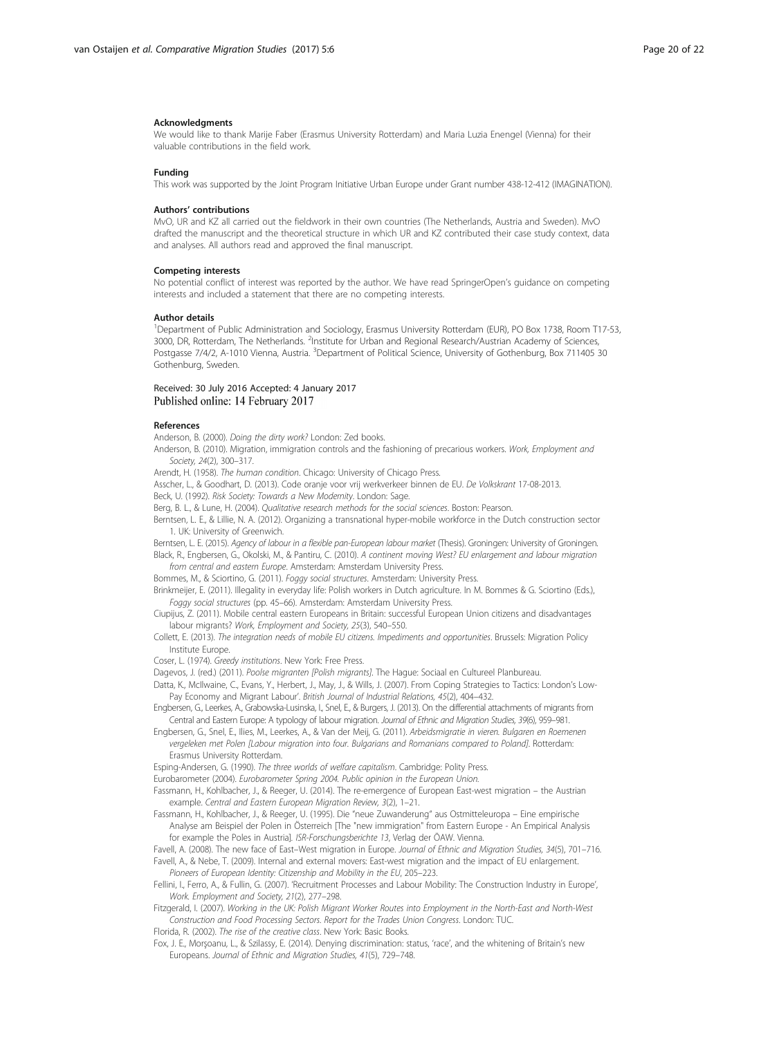#### <span id="page-19-0"></span>Acknowledgments

We would like to thank Marije Faber (Erasmus University Rotterdam) and Maria Luzia Enengel (Vienna) for their valuable contributions in the field work.

#### Funding

This work was supported by the Joint Program Initiative Urban Europe under Grant number 438-12-412 (IMAGINATION).

#### Authors' contributions

MvO, UR and KZ all carried out the fieldwork in their own countries (The Netherlands, Austria and Sweden). MvO drafted the manuscript and the theoretical structure in which UR and KZ contributed their case study context, data and analyses. All authors read and approved the final manuscript.

#### Competing interests

No potential conflict of interest was reported by the author. We have read SpringerOpen's guidance on competing interests and included a statement that there are no competing interests.

#### Author details

<sup>1</sup>Department of Public Administration and Sociology, Erasmus University Rotterdam (EUR), PO Box 1738, Room T17-53, 3000, DR, Rotterdam, The Netherlands. <sup>2</sup>Institute for Urban and Regional Research/Austrian Academy of Sciences, Postgasse 7/4/2, A-1010 Vienna, Austria. <sup>3</sup>Department of Political Science, University of Gothenburg, Box 711405 30 Gothenburg, Sweden.

#### Received: 30 July 2016 Accepted: 4 January 2017 Published online: 14 February 2017

#### References

Anderson, B. (2000). Doing the dirty work? London: Zed books.

Anderson, B. (2010). Migration, immigration controls and the fashioning of precarious workers. Work, Employment and Society, 24(2), 300-317.

Arendt, H. (1958). The human condition. Chicago: University of Chicago Press.

- Asscher, L., & Goodhart, D. (2013). Code oranje voor vrij werkverkeer binnen de EU. De Volkskrant 17-08-2013.
- Beck, U. (1992). Risk Society: Towards a New Modernity. London: Sage.

Berg, B. L., & Lune, H. (2004). Qualitative research methods for the social sciences. Boston: Pearson.

Berntsen, L. E., & Lillie, N. A. (2012). Organizing a transnational hyper-mobile workforce in the Dutch construction sector 1. UK: University of Greenwich.

Berntsen, L. E. (2015). Agency of labour in a flexible pan-European labour market (Thesis). Groningen: University of Groningen. Black, R., Engbersen, G., Okolski, M., & Pantiru, C. (2010). A continent moving West? EU enlargement and labour migration

- from central and eastern Europe. Amsterdam: Amsterdam University Press. Bommes, M., & Sciortino, G. (2011). Foggy social structures. Amsterdam: University Press.
- Brinkmeijer, E. (2011). Illegality in everyday life: Polish workers in Dutch agriculture. In M. Bommes & G. Sciortino (Eds.),
- Foggy social structures (pp. 45–66). Amsterdam: Amsterdam University Press. Ciupijus, Z. (2011). Mobile central eastern Europeans in Britain: successful European Union citizens and disadvantages
- labour migrants? Work, Employment and Society, 25(3), 540–550.
- Collett, E. (2013). The integration needs of mobile EU citizens. Impediments and opportunities. Brussels: Migration Policy Institute Europe.
- Coser, L. (1974). Greedy institutions. New York: Free Press.

Dagevos, J. (red.) (2011). Poolse migranten [Polish migrants]. The Hague: Sociaal en Cultureel Planbureau.

Datta, K., McIlwaine, C., Evans, Y., Herbert, J., May, J., & Wills, J. (2007). From Coping Strategies to Tactics: London's Low-Pay Economy and Migrant Labour'. British Journal of Industrial Relations, 45(2), 404-432.

Engbersen, G., Leerkes, A., Grabowska-Lusinska, I., Snel, E., & Burgers, J. (2013). On the differential attachments of migrants from Central and Eastern Europe: A typology of labour migration. Journal of Ethnic and Migration Studies, 39(6), 959–981.

Engbersen, G., Snel, E., Ilies, M., Leerkes, A., & Van der Meij, G. (2011). Arbeidsmigratie in vieren. Bulgaren en Roemenen vergeleken met Polen [Labour migration into four. Bulgarians and Romanians compared to Poland]. Rotterdam: Erasmus University Rotterdam.

Esping-Andersen, G. (1990). The three worlds of welfare capitalism. Cambridge: Polity Press.

Eurobarometer (2004). Eurobarometer Spring 2004. Public opinion in the European Union.

Fassmann, H., Kohlbacher, J., & Reeger, U. (2014). The re-emergence of European East-west migration – the Austrian example. Central and Eastern European Migration Review, 3(2), 1–21.

Fassmann, H., Kohlbacher, J., & Reeger, U. (1995). Die "neue Zuwanderung" aus Ostmitteleuropa – Eine empirische Analyse am Beispiel der Polen in Österreich [The "new immigration" from Eastern Europe - An Empirical Analysis for example the Poles in Austria]. ISR-Forschungsberichte 13, Verlag der ÖAW. Vienna.

Favell, A. (2008). The new face of East–West migration in Europe. Journal of Ethnic and Migration Studies, 34(5), 701–716. Favell, A., & Nebe, T. (2009). Internal and external movers: East-west migration and the impact of EU enlargement.

Pioneers of European Identity: Citizenship and Mobility in the EU, 205–223.

- Fellini, I., Ferro, A., & Fullin, G. (2007). 'Recruitment Processes and Labour Mobility: The Construction Industry in Europe', Work. Employment and Society, 21(2), 277–298.
- Fitzgerald, I. (2007). Working in the UK: Polish Migrant Worker Routes into Employment in the North-East and North-West Construction and Food Processing Sectors. Report for the Trades Union Congress. London: TUC.
- Florida, R. (2002). The rise of the creative class. New York: Basic Books.
- Fox, J. E., Morşoanu, L., & Szilassy, E. (2014). Denying discrimination: status, 'race', and the whitening of Britain's new Europeans. Journal of Ethnic and Migration Studies, 41(5), 729–748.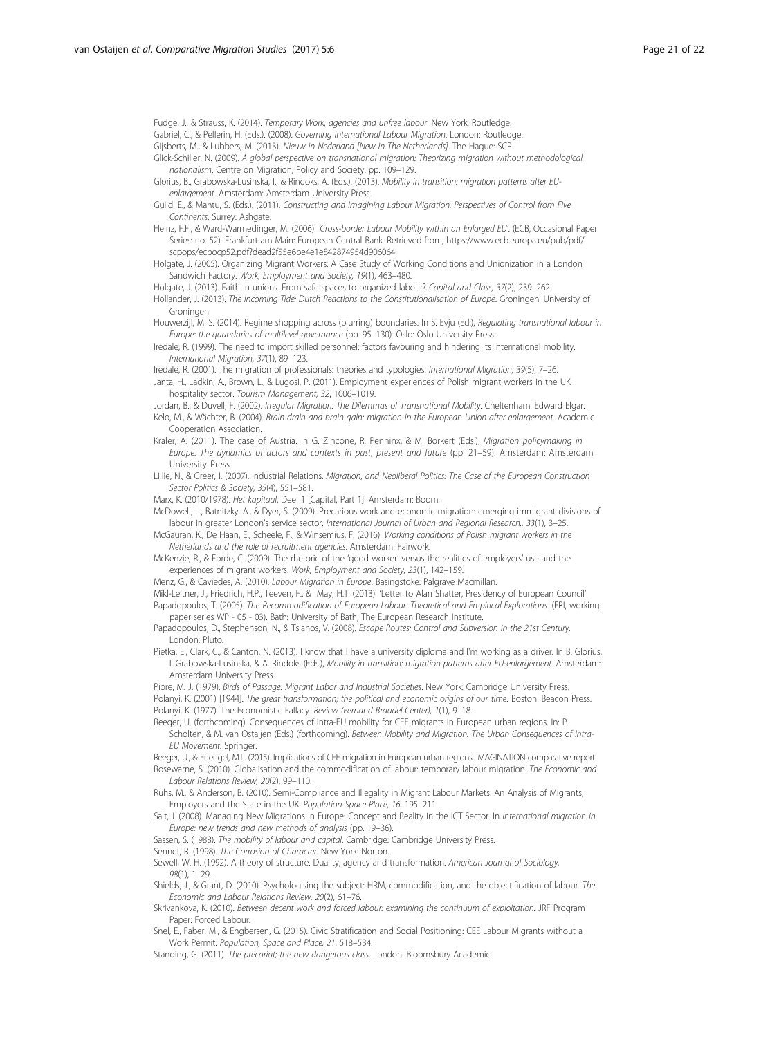<span id="page-20-0"></span>Fudge, J., & Strauss, K. (2014). Temporary Work, agencies and unfree labour. New York: Routledge. Gabriel, C., & Pellerin, H. (Eds.). (2008). Governing International Labour Migration. London: Routledge. Gijsberts, M., & Lubbers, M. (2013). Nieuw in Nederland [New in The Netherlands]. The Hague: SCP.

- Glick-Schiller, N. (2009). A global perspective on transnational migration: Theorizing migration without methodological nationalism. Centre on Migration, Policy and Society. pp. 109–129.
- Glorius, B., Grabowska-Lusinska, I., & Rindoks, A. (Eds.). (2013). Mobility in transition: migration patterns after EUenlargement. Amsterdam: Amsterdam University Press.
- Guild, E., & Mantu, S. (Eds.). (2011). Constructing and Imagining Labour Migration. Perspectives of Control from Five Continents. Surrey: Ashgate.
- Heinz, F.F., & Ward-Warmedinger, M. (2006). 'Cross-border Labour Mobility within an Enlarged EU'. (ECB, Occasional Paper Series: no. 52). Frankfurt am Main: European Central Bank. Retrieved from, [https://www.ecb.europa.eu/pub/pdf/](https://www.ecb.europa.eu/pub/pdf/scpops/ecbocp52.pdf?dead2f55e6be4e1e842874954d906064) [scpops/ecbocp52.pdf?dead2f55e6be4e1e842874954d906064](https://www.ecb.europa.eu/pub/pdf/scpops/ecbocp52.pdf?dead2f55e6be4e1e842874954d906064)
- Holgate, J. (2005). Organizing Migrant Workers: A Case Study of Working Conditions and Unionization in a London Sandwich Factory. Work, Employment and Society, 19(1), 463–480.
- Holgate, J. (2013). Faith in unions. From safe spaces to organized labour? Capital and Class, 37(2), 239–262.
- Hollander, J. (2013). The Incoming Tide: Dutch Reactions to the Constitutionalisation of Europe. Groningen: University of Groningen.
- Houwerzijl, M. S. (2014). Regime shopping across (blurring) boundaries. In S. Evju (Ed.), Regulating transnational labour in Europe: the quandaries of multilevel governance (pp. 95–130). Oslo: Oslo University Press.
- Iredale, R. (1999). The need to import skilled personnel: factors favouring and hindering its international mobility. International Migration, 37(1), 89–123.
- Iredale, R. (2001). The migration of professionals: theories and typologies. International Migration, 39(5), 7–26.
- Janta, H., Ladkin, A., Brown, L., & Lugosi, P. (2011). Employment experiences of Polish migrant workers in the UK hospitality sector. Tourism Management, 32, 1006–1019.
- Jordan, B., & Duvell, F. (2002). Irregular Migration: The Dilemmas of Transnational Mobility. Cheltenham: Edward Elgar.
- Kelo, M., & Wächter, B. (2004). Brain drain and brain gain: migration in the European Union after enlargement. Academic Cooperation Association.
- Kraler, A. (2011). The case of Austria. In G. Zincone, R. Penninx, & M. Borkert (Eds.), Migration policymaking in Europe. The dynamics of actors and contexts in past, present and future (pp. 21–59). Amsterdam: Amsterdam University Press.
- Lillie, N., & Greer, I. (2007). Industrial Relations. Migration, and Neoliberal Politics: The Case of the European Construction Sector Politics & Society, 35(4), 551-581.
- Marx, K. (2010/1978). Het kapitaal, Deel 1 [Capital, Part 1]. Amsterdam: Boom.
- McDowell, L., Batnitzky, A., & Dyer, S. (2009). Precarious work and economic migration: emerging immigrant divisions of labour in greater London's service sector. International Journal of Urban and Regional Research., 33(1), 3–25.
- McGauran, K., De Haan, E., Scheele, F., & Winsemius, F. (2016). Working conditions of Polish migrant workers in the Netherlands and the role of recruitment agencies. Amsterdam: Fairwork.
- McKenzie, R., & Forde, C. (2009). The rhetoric of the 'good worker' versus the realities of employers' use and the experiences of migrant workers. Work, Employment and Society, 23(1), 142–159.
- Menz, G., & Caviedes, A. (2010). Labour Migration in Europe. Basingstoke: Palgrave Macmillan.
- Mikl-Leitner, J., Friedrich, H.P., Teeven, F., & May, H.T. (2013). 'Letter to Alan Shatter, Presidency of European Council' Papadopoulos, T. (2005). The Recommodification of European Labour: Theoretical and Empirical Explorations. (ERI, working paper series WP - 05 - 03). Bath: University of Bath, The European Research Institute.
- Papadopoulos, D., Stephenson, N., & Tsianos, V. (2008). Escape Routes: Control and Subversion in the 21st Century. London: Pluto.
- Pietka, E., Clark, C., & Canton, N. (2013). I know that I have a university diploma and I'm working as a driver. In B. Glorius, I. Grabowska-Lusinska, & A. Rindoks (Eds.), Mobility in transition: migration patterns after EU-enlargement. Amsterdam: Amsterdam University Press.
- Piore, M. J. (1979). Birds of Passage: Migrant Labor and Industrial Societies. New York: Cambridge University Press.
- Polanyi, K. (2001) [1944]. The great transformation; the political and economic origins of our time. Boston: Beacon Press. Polanyi, K. (1977). The Economistic Fallacy. Review (Fernand Braudel Center), 1(1), 9-18.
- Reeger, U. (forthcoming). Consequences of intra-EU mobility for CEE migrants in European urban regions. In: P. Scholten, & M. van Ostaijen (Eds.) (forthcoming). Between Mobility and Migration. The Urban Consequences of Intra-EU Movement. Springer.
- Reeger, U., & Enengel, M.L. (2015). Implications of CEE migration in European urban regions. IMAGINATION comparative report. Rosewarne, S. (2010). Globalisation and the commodification of labour: temporary labour migration. The Economic and Labour Relations Review, 20(2), 99–110.
- Ruhs, M., & Anderson, B. (2010). Semi-Compliance and Illegality in Migrant Labour Markets: An Analysis of Migrants, Employers and the State in the UK. Population Space Place, 16, 195–211.
- Salt, J. (2008). Managing New Migrations in Europe: Concept and Reality in the ICT Sector. In International migration in Europe: new trends and new methods of analysis (pp. 19–36).
- Sassen, S. (1988). The mobility of labour and capital. Cambridge: Cambridge University Press.
- Sennet, R. (1998). The Corrosion of Character. New York: Norton.
- Sewell, W. H. (1992). A theory of structure. Duality, agency and transformation. American Journal of Sociology, 98(1), 1–29.
- Shields, J., & Grant, D. (2010). Psychologising the subject: HRM, commodification, and the objectification of labour. The Economic and Labour Relations Review, 20(2), 61–76.
- Skrivankova, K. (2010). Between decent work and forced labour: examining the continuum of exploitation. JRF Program Paper: Forced Labour.
- Snel, E., Faber, M., & Engbersen, G. (2015). Civic Stratification and Social Positioning: CEE Labour Migrants without a Work Permit. Population, Space and Place, 21, 518–534.
- Standing, G. (2011). The precariat; the new dangerous class. London: Bloomsbury Academic.